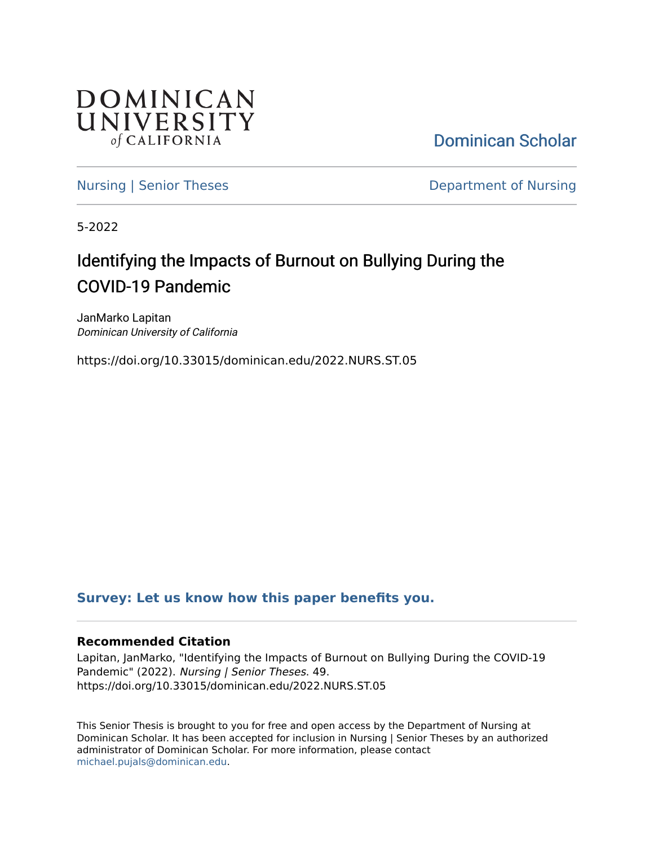

[Dominican Scholar](https://scholar.dominican.edu/) 

[Nursing | Senior Theses](https://scholar.dominican.edu/nursing-senior-theses) **Department of Nursing** 

5-2022

# Identifying the Impacts of Burnout on Bullying During the COVID-19 Pandemic

JanMarko Lapitan Dominican University of California

https://doi.org/10.33015/dominican.edu/2022.NURS.ST.05

# **[Survey: Let us know how this paper benefits you.](https://dominican.libwizard.com/dominican-scholar-feedback)**

# **Recommended Citation**

Lapitan, JanMarko, "Identifying the Impacts of Burnout on Bullying During the COVID-19 Pandemic" (2022). Nursing | Senior Theses. 49. https://doi.org/10.33015/dominican.edu/2022.NURS.ST.05

This Senior Thesis is brought to you for free and open access by the Department of Nursing at Dominican Scholar. It has been accepted for inclusion in Nursing | Senior Theses by an authorized administrator of Dominican Scholar. For more information, please contact [michael.pujals@dominican.edu.](mailto:michael.pujals@dominican.edu)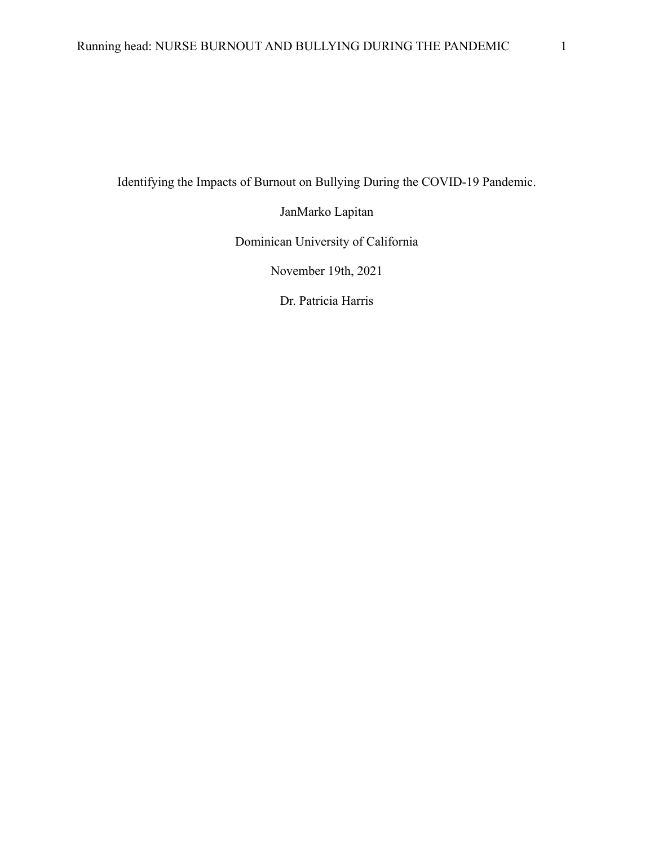Identifying the Impacts of Burnout on Bullying During the COVID-19 Pandemic.

JanMarko Lapitan

Dominican University of California

November 19th, 2021

Dr. Patricia Harris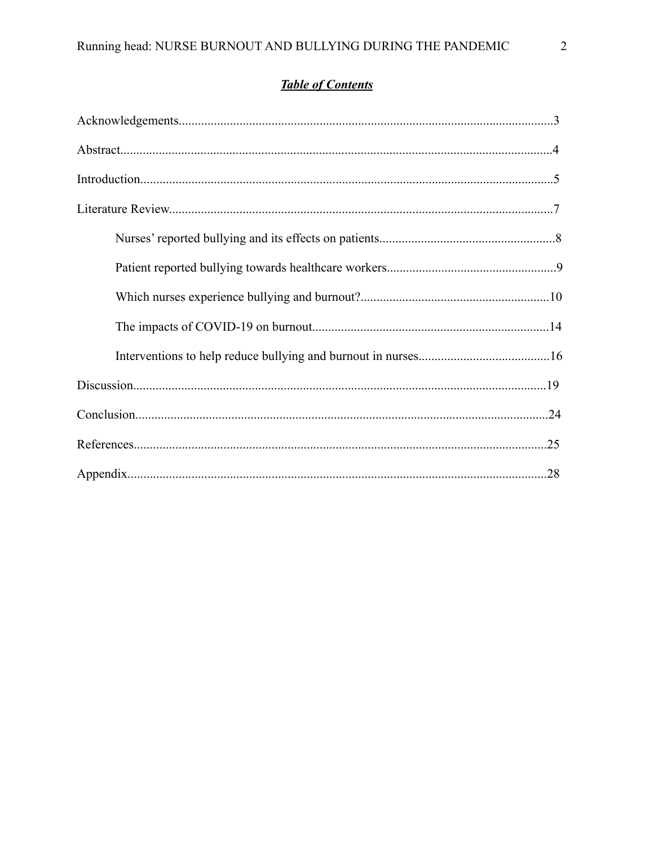# **Table of Contents**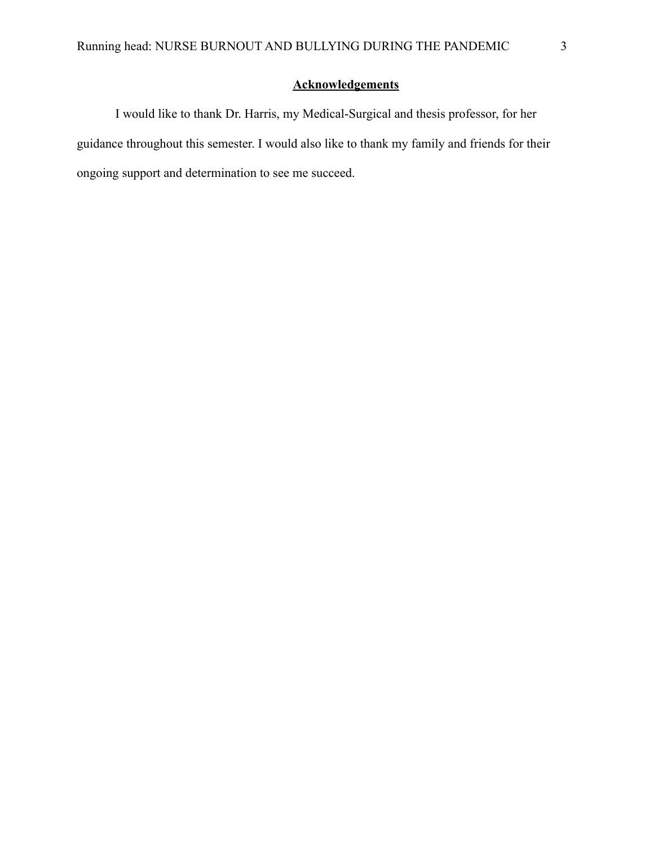# **Acknowledgements**

I would like to thank Dr. Harris, my Medical-Surgical and thesis professor, for her guidance throughout this semester. I would also like to thank my family and friends for their ongoing support and determination to see me succeed.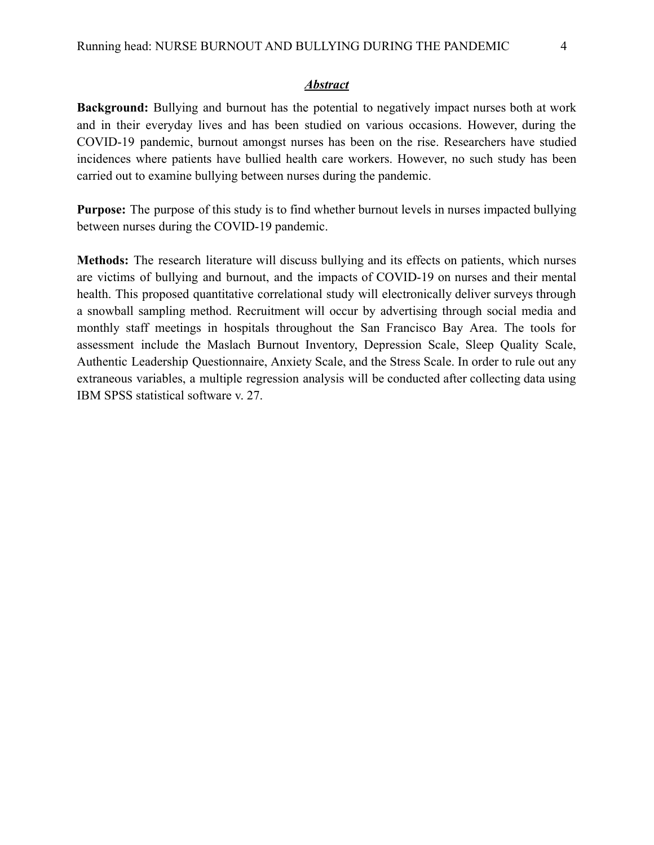#### *Abstract*

**Background:** Bullying and burnout has the potential to negatively impact nurses both at work and in their everyday lives and has been studied on various occasions. However, during the COVID-19 pandemic, burnout amongst nurses has been on the rise. Researchers have studied incidences where patients have bullied health care workers. However, no such study has been carried out to examine bullying between nurses during the pandemic.

**Purpose:** The purpose of this study is to find whether burnout levels in nurses impacted bullying between nurses during the COVID-19 pandemic.

**Methods:** The research literature will discuss bullying and its effects on patients, which nurses are victims of bullying and burnout, and the impacts of COVID-19 on nurses and their mental health. This proposed quantitative correlational study will electronically deliver surveys through a snowball sampling method. Recruitment will occur by advertising through social media and monthly staff meetings in hospitals throughout the San Francisco Bay Area. The tools for assessment include the Maslach Burnout Inventory, Depression Scale, Sleep Quality Scale, Authentic Leadership Questionnaire, Anxiety Scale, and the Stress Scale. In order to rule out any extraneous variables, a multiple regression analysis will be conducted after collecting data using IBM SPSS statistical software v. 27.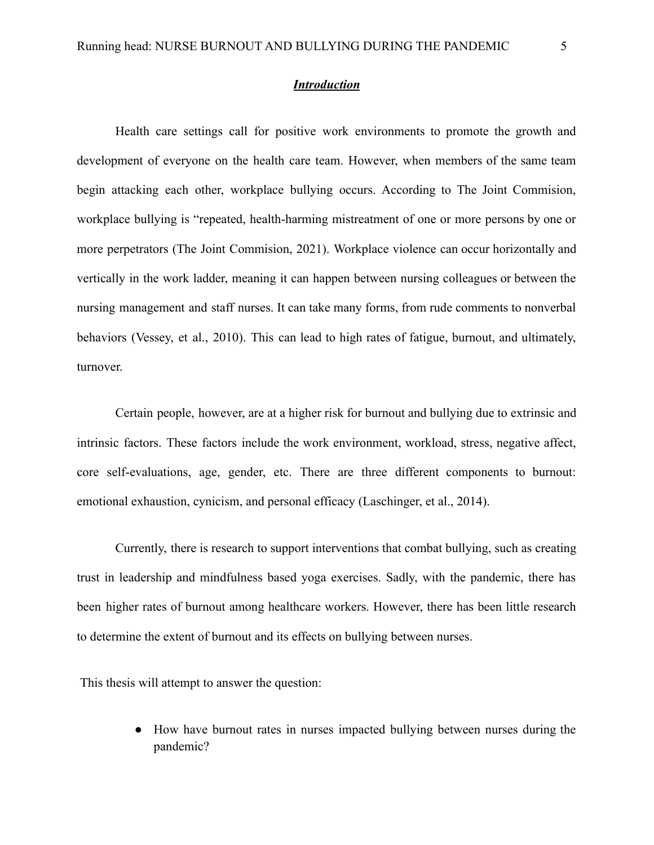# *Introduction*

Health care settings call for positive work environments to promote the growth and development of everyone on the health care team. However, when members of the same team begin attacking each other, workplace bullying occurs. According to The Joint Commision, workplace bullying is "repeated, health-harming mistreatment of one or more persons by one or more perpetrators (The Joint Commision, 2021). Workplace violence can occur horizontally and vertically in the work ladder, meaning it can happen between nursing colleagues or between the nursing management and staff nurses. It can take many forms, from rude comments to nonverbal behaviors (Vessey, et al., 2010). This can lead to high rates of fatigue, burnout, and ultimately, turnover.

Certain people, however, are at a higher risk for burnout and bullying due to extrinsic and intrinsic factors. These factors include the work environment, workload, stress, negative affect, core self-evaluations, age, gender, etc. There are three different components to burnout: emotional exhaustion, cynicism, and personal efficacy (Laschinger, et al., 2014).

Currently, there is research to support interventions that combat bullying, such as creating trust in leadership and mindfulness based yoga exercises. Sadly, with the pandemic, there has been higher rates of burnout among healthcare workers. However, there has been little research to determine the extent of burnout and its effects on bullying between nurses.

This thesis will attempt to answer the question:

● How have burnout rates in nurses impacted bullying between nurses during the pandemic?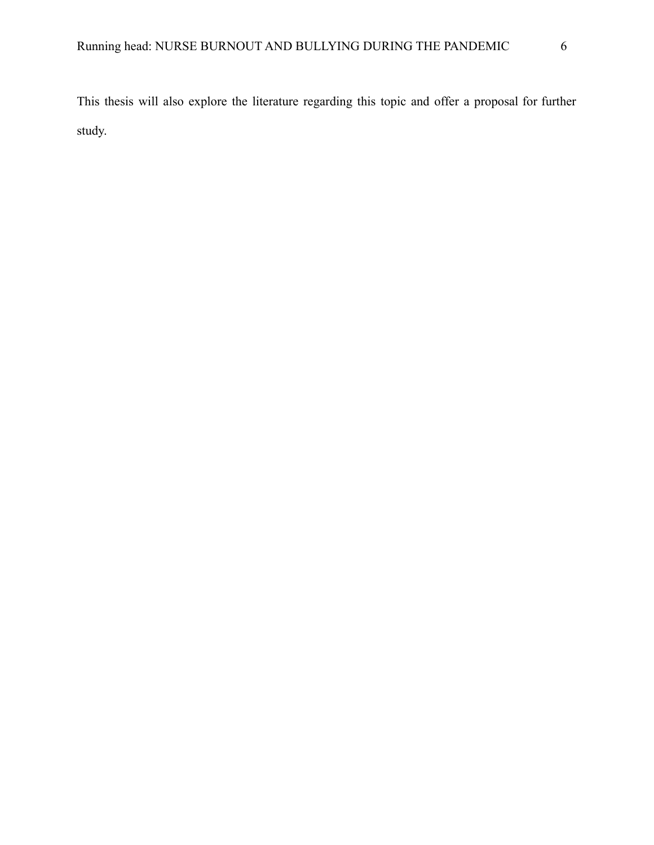This thesis will also explore the literature regarding this topic and offer a proposal for further study.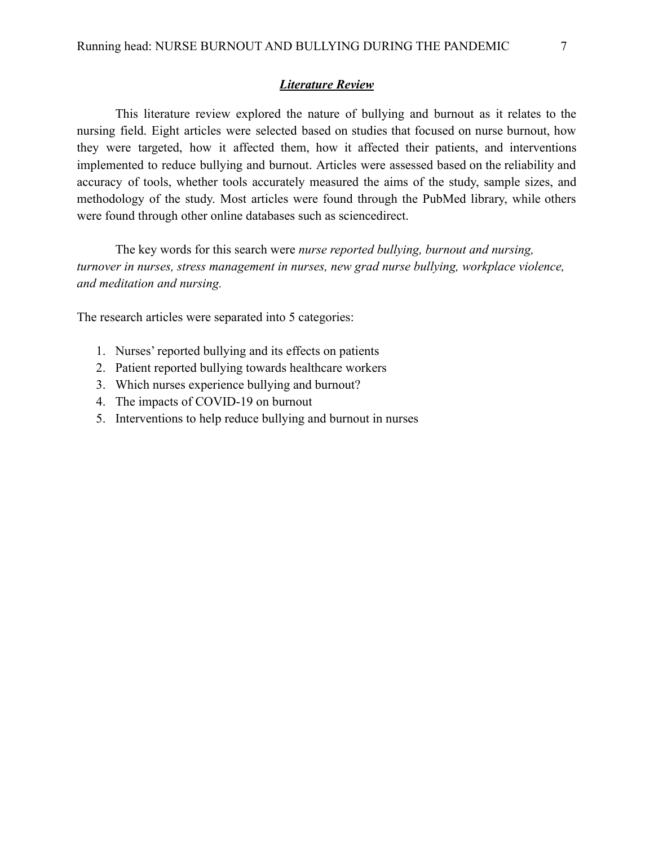### *Literature Review*

This literature review explored the nature of bullying and burnout as it relates to the nursing field. Eight articles were selected based on studies that focused on nurse burnout, how they were targeted, how it affected them, how it affected their patients, and interventions implemented to reduce bullying and burnout. Articles were assessed based on the reliability and accuracy of tools, whether tools accurately measured the aims of the study, sample sizes, and methodology of the study. Most articles were found through the PubMed library, while others were found through other online databases such as sciencedirect.

The key words for this search were *nurse reported bullying, burnout and nursing, turnover in nurses, stress management in nurses, new grad nurse bullying, workplace violence, and meditation and nursing.*

The research articles were separated into 5 categories:

- 1. Nurses' reported bullying and its effects on patients
- 2. Patient reported bullying towards healthcare workers
- 3. Which nurses experience bullying and burnout?
- 4. The impacts of COVID-19 on burnout
- 5. Interventions to help reduce bullying and burnout in nurses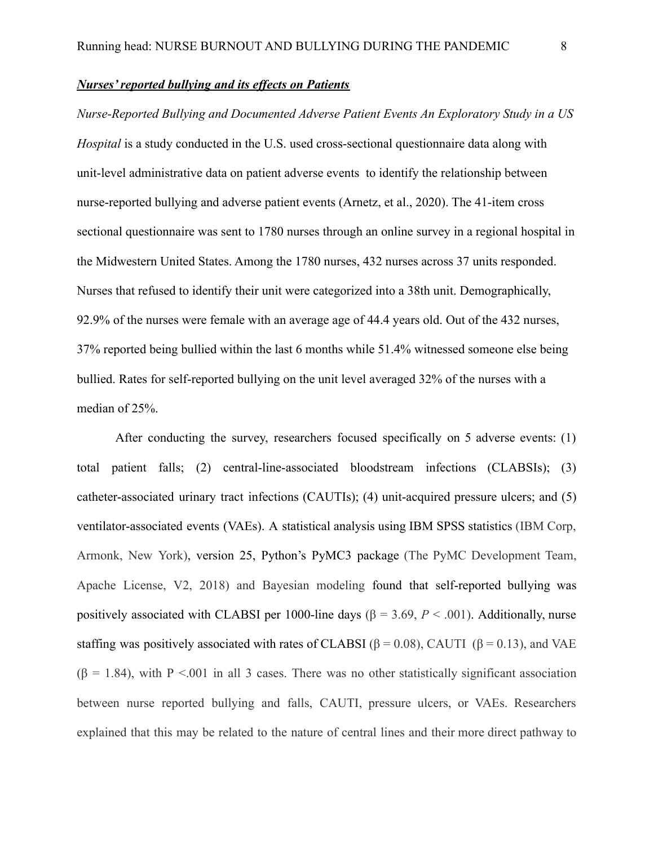# *Nurses' reported bullying and its effects on Patients*

*Nurse-Reported Bullying and Documented Adverse Patient Events An Exploratory Study in a US Hospital* is a study conducted in the U.S. used cross-sectional questionnaire data along with unit-level administrative data on patient adverse events to identify the relationship between nurse-reported bullying and adverse patient events (Arnetz, et al., 2020). The 41-item cross sectional questionnaire was sent to 1780 nurses through an online survey in a regional hospital in the Midwestern United States. Among the 1780 nurses, 432 nurses across 37 units responded. Nurses that refused to identify their unit were categorized into a 38th unit. Demographically, 92.9% of the nurses were female with an average age of 44.4 years old. Out of the 432 nurses, 37% reported being bullied within the last 6 months while 51.4% witnessed someone else being bullied. Rates for self-reported bullying on the unit level averaged 32% of the nurses with a median of 25%.

After conducting the survey, researchers focused specifically on 5 adverse events: (1) total patient falls; (2) central-line-associated bloodstream infections (CLABSIs); (3) catheter-associated urinary tract infections (CAUTIs); (4) unit-acquired pressure ulcers; and (5) ventilator-associated events (VAEs). A statistical analysis using IBM SPSS statistics (IBM Corp, Armonk, New York), version 25, Python's PyMC3 package (The PyMC Development Team, Apache License, V2, 2018) and Bayesian modeling found that self-reported bullying was positively associated with CLABSI per 1000-line days ( $\beta$  = 3.69, *P* < .001). Additionally, nurse staffing was positively associated with rates of CLABSI ( $\beta$  = 0.08), CAUTI ( $\beta$  = 0.13), and VAE  $(\beta = 1.84)$ , with P <.001 in all 3 cases. There was no other statistically significant association between nurse reported bullying and falls, CAUTI, pressure ulcers, or VAEs. Researchers explained that this may be related to the nature of central lines and their more direct pathway to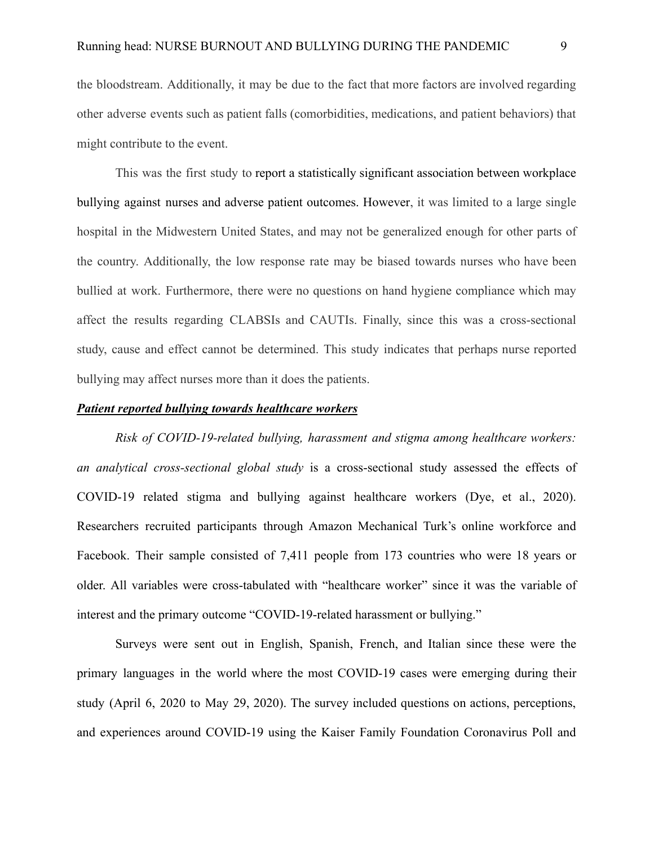the bloodstream. Additionally, it may be due to the fact that more factors are involved regarding other adverse events such as patient falls (comorbidities, medications, and patient behaviors) that might contribute to the event.

This was the first study to report a statistically significant association between workplace bullying against nurses and adverse patient outcomes. However, it was limited to a large single hospital in the Midwestern United States, and may not be generalized enough for other parts of the country. Additionally, the low response rate may be biased towards nurses who have been bullied at work. Furthermore, there were no questions on hand hygiene compliance which may affect the results regarding CLABSIs and CAUTIs. Finally, since this was a cross-sectional study, cause and effect cannot be determined. This study indicates that perhaps nurse reported bullying may affect nurses more than it does the patients.

#### *Patient reported bullying towards healthcare workers*

*Risk of COVID-19-related bullying, harassment and stigma among healthcare workers: an analytical cross-sectional global study* is a cross-sectional study assessed the effects of COVID-19 related stigma and bullying against healthcare workers (Dye, et al., 2020). Researchers recruited participants through Amazon Mechanical Turk's online workforce and Facebook. Their sample consisted of 7,411 people from 173 countries who were 18 years or older. All variables were cross-tabulated with "healthcare worker" since it was the variable of interest and the primary outcome "COVID-19-related harassment or bullying."

Surveys were sent out in English, Spanish, French, and Italian since these were the primary languages in the world where the most COVID-19 cases were emerging during their study (April 6, 2020 to May 29, 2020). The survey included questions on actions, perceptions, and experiences around COVID-19 using the Kaiser Family Foundation Coronavirus Poll and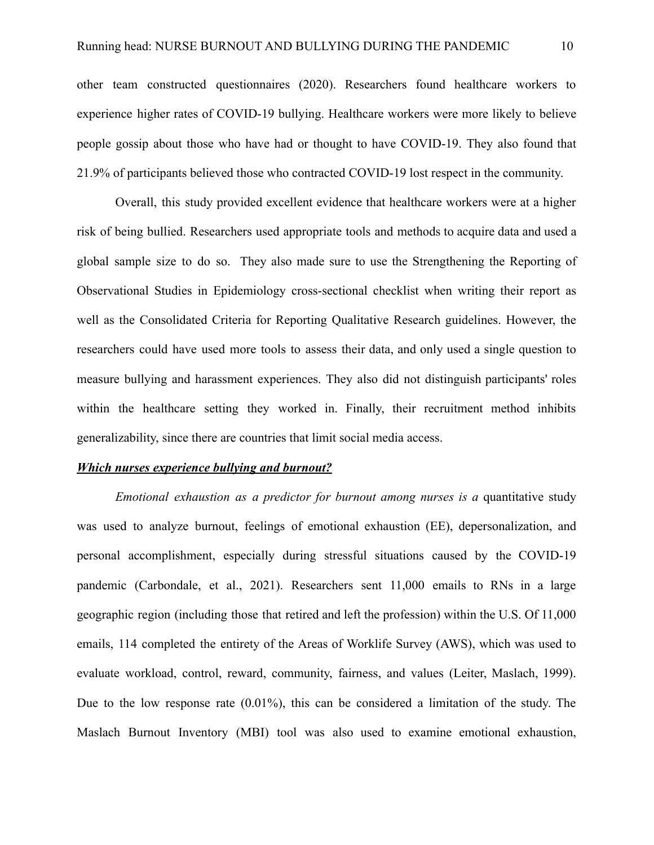other team constructed questionnaires (2020). Researchers found healthcare workers to experience higher rates of COVID-19 bullying. Healthcare workers were more likely to believe people gossip about those who have had or thought to have COVID-19. They also found that 21.9% of participants believed those who contracted COVID-19 lost respect in the community.

Overall, this study provided excellent evidence that healthcare workers were at a higher risk of being bullied. Researchers used appropriate tools and methods to acquire data and used a global sample size to do so. They also made sure to use the Strengthening the Reporting of Observational Studies in Epidemiology cross-sectional checklist when writing their report as well as the Consolidated Criteria for Reporting Qualitative Research guidelines. However, the researchers could have used more tools to assess their data, and only used a single question to measure bullying and harassment experiences. They also did not distinguish participants' roles within the healthcare setting they worked in. Finally, their recruitment method inhibits generalizability, since there are countries that limit social media access.

#### *Which nurses experience bullying and burnout?*

*Emotional exhaustion as a predictor for burnout among nurses is a* quantitative study was used to analyze burnout, feelings of emotional exhaustion (EE), depersonalization, and personal accomplishment, especially during stressful situations caused by the COVID-19 pandemic (Carbondale, et al., 2021). Researchers sent 11,000 emails to RNs in a large geographic region (including those that retired and left the profession) within the U.S. Of 11,000 emails, 114 completed the entirety of the Areas of Worklife Survey (AWS), which was used to evaluate workload, control, reward, community, fairness, and values (Leiter, Maslach, 1999). Due to the low response rate (0.01%), this can be considered a limitation of the study. The Maslach Burnout Inventory (MBI) tool was also used to examine emotional exhaustion,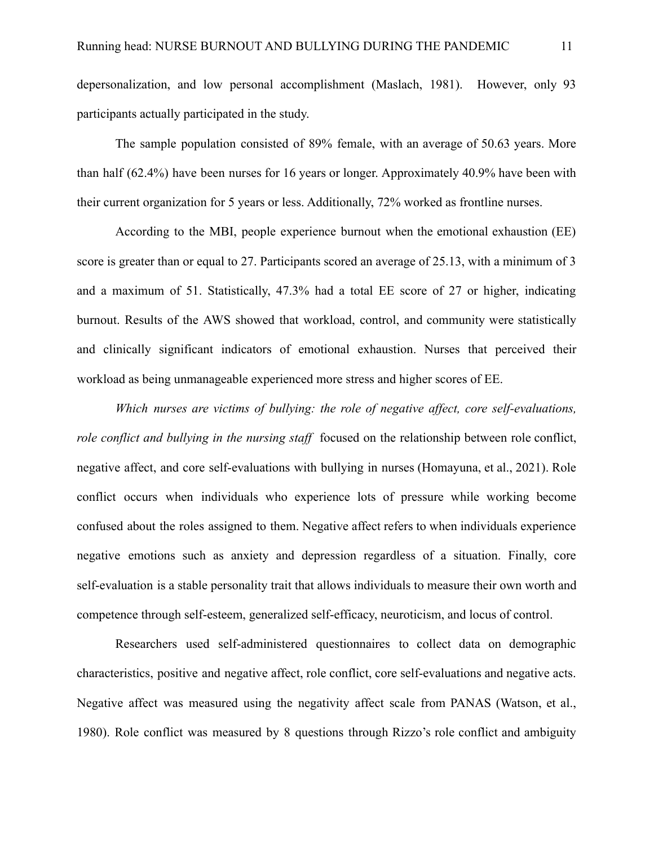depersonalization, and low personal accomplishment (Maslach, 1981). However, only 93 participants actually participated in the study.

The sample population consisted of 89% female, with an average of 50.63 years. More than half (62.4%) have been nurses for 16 years or longer. Approximately 40.9% have been with their current organization for 5 years or less. Additionally, 72% worked as frontline nurses.

According to the MBI, people experience burnout when the emotional exhaustion (EE) score is greater than or equal to 27. Participants scored an average of 25.13, with a minimum of 3 and a maximum of 51. Statistically, 47.3% had a total EE score of 27 or higher, indicating burnout. Results of the AWS showed that workload, control, and community were statistically and clinically significant indicators of emotional exhaustion. Nurses that perceived their workload as being unmanageable experienced more stress and higher scores of EE.

*Which nurses are victims of bullying: the role of negative affect, core self-evaluations, role conflict and bullying in the nursing staff* focused on the relationship between role conflict, negative affect, and core self-evaluations with bullying in nurses (Homayuna, et al., 2021). Role conflict occurs when individuals who experience lots of pressure while working become confused about the roles assigned to them. Negative affect refers to when individuals experience negative emotions such as anxiety and depression regardless of a situation. Finally, core self-evaluation is a stable personality trait that allows individuals to measure their own worth and competence through self-esteem, generalized self-efficacy, neuroticism, and locus of control.

Researchers used self-administered questionnaires to collect data on demographic characteristics, positive and negative affect, role conflict, core self-evaluations and negative acts. Negative affect was measured using the negativity affect scale from PANAS (Watson, et al., 1980). Role conflict was measured by 8 questions through Rizzo's role conflict and ambiguity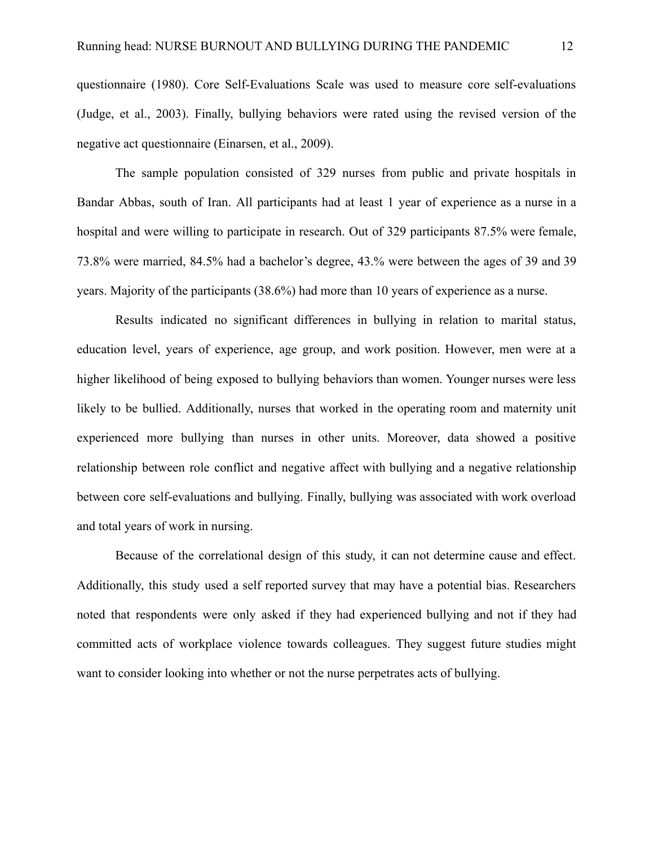questionnaire (1980). Core Self-Evaluations Scale was used to measure core self-evaluations (Judge, et al., 2003). Finally, bullying behaviors were rated using the revised version of the negative act questionnaire (Einarsen, et al., 2009).

The sample population consisted of 329 nurses from public and private hospitals in Bandar Abbas, south of Iran. All participants had at least 1 year of experience as a nurse in a hospital and were willing to participate in research. Out of 329 participants 87.5% were female, 73.8% were married, 84.5% had a bachelor's degree, 43.% were between the ages of 39 and 39 years. Majority of the participants (38.6%) had more than 10 years of experience as a nurse.

Results indicated no significant differences in bullying in relation to marital status, education level, years of experience, age group, and work position. However, men were at a higher likelihood of being exposed to bullying behaviors than women. Younger nurses were less likely to be bullied. Additionally, nurses that worked in the operating room and maternity unit experienced more bullying than nurses in other units. Moreover, data showed a positive relationship between role conflict and negative affect with bullying and a negative relationship between core self-evaluations and bullying. Finally, bullying was associated with work overload and total years of work in nursing.

Because of the correlational design of this study, it can not determine cause and effect. Additionally, this study used a self reported survey that may have a potential bias. Researchers noted that respondents were only asked if they had experienced bullying and not if they had committed acts of workplace violence towards colleagues. They suggest future studies might want to consider looking into whether or not the nurse perpetrates acts of bullying.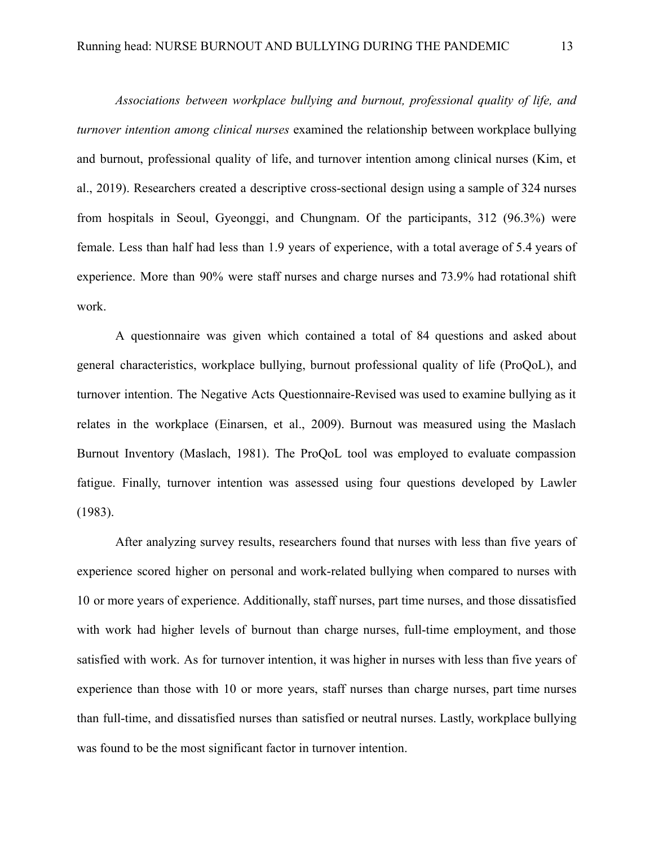*Associations between workplace bullying and burnout, professional quality of life, and turnover intention among clinical nurses* examined the relationship between workplace bullying and burnout, professional quality of life, and turnover intention among clinical nurses (Kim, et al., 2019). Researchers created a descriptive cross-sectional design using a sample of 324 nurses from hospitals in Seoul, Gyeonggi, and Chungnam. Of the participants, 312 (96.3%) were female. Less than half had less than 1.9 years of experience, with a total average of 5.4 years of experience. More than 90% were staff nurses and charge nurses and 73.9% had rotational shift work.

A questionnaire was given which contained a total of 84 questions and asked about general characteristics, workplace bullying, burnout professional quality of life (ProQoL), and turnover intention. The Negative Acts Questionnaire-Revised was used to examine bullying as it relates in the workplace (Einarsen, et al., 2009). Burnout was measured using the Maslach Burnout Inventory (Maslach, 1981). The ProQoL tool was employed to evaluate compassion fatigue. Finally, turnover intention was assessed using four questions developed by Lawler (1983).

After analyzing survey results, researchers found that nurses with less than five years of experience scored higher on personal and work-related bullying when compared to nurses with 10 or more years of experience. Additionally, staff nurses, part time nurses, and those dissatisfied with work had higher levels of burnout than charge nurses, full-time employment, and those satisfied with work. As for turnover intention, it was higher in nurses with less than five years of experience than those with 10 or more years, staff nurses than charge nurses, part time nurses than full-time, and dissatisfied nurses than satisfied or neutral nurses. Lastly, workplace bullying was found to be the most significant factor in turnover intention.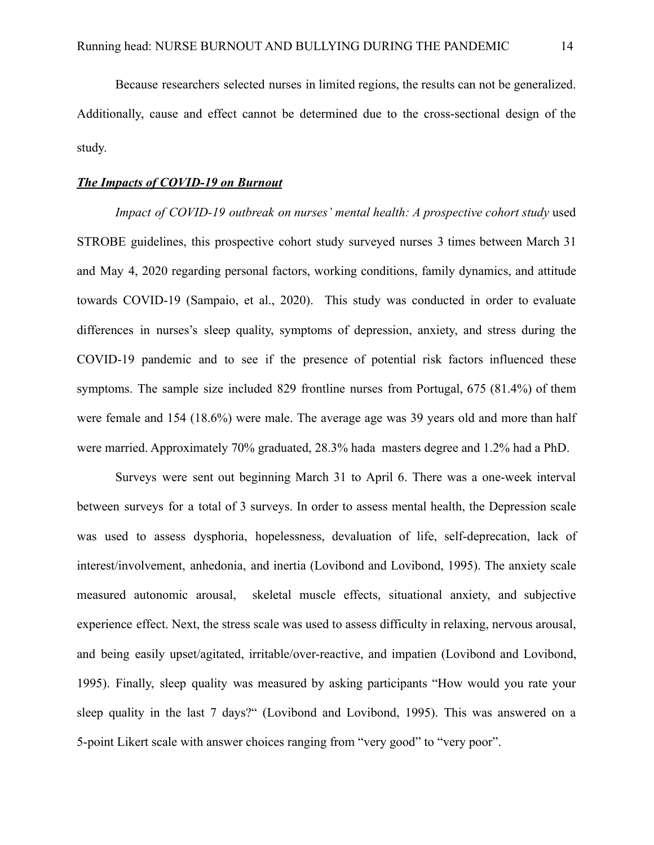Because researchers selected nurses in limited regions, the results can not be generalized. Additionally, cause and effect cannot be determined due to the cross-sectional design of the study.

### *The Impacts of COVID-19 on Burnout*

*Impact of COVID-19 outbreak on nurses' mental health: A prospective cohort study* used STROBE guidelines, this prospective cohort study surveyed nurses 3 times between March 31 and May 4, 2020 regarding personal factors, working conditions, family dynamics, and attitude towards COVID-19 (Sampaio, et al., 2020). This study was conducted in order to evaluate differences in nurses's sleep quality, symptoms of depression, anxiety, and stress during the COVID-19 pandemic and to see if the presence of potential risk factors influenced these symptoms. The sample size included 829 frontline nurses from Portugal, 675 (81.4%) of them were female and 154 (18.6%) were male. The average age was 39 years old and more than half were married. Approximately 70% graduated, 28.3% hada masters degree and 1.2% had a PhD.

Surveys were sent out beginning March 31 to April 6. There was a one-week interval between surveys for a total of 3 surveys. In order to assess mental health, the Depression scale was used to assess dysphoria, hopelessness, devaluation of life, self-deprecation, lack of interest/involvement, anhedonia, and inertia (Lovibond and Lovibond, 1995). The anxiety scale measured autonomic arousal, skeletal muscle effects, situational anxiety, and subjective experience effect. Next, the stress scale was used to assess difficulty in relaxing, nervous arousal, and being easily upset/agitated, irritable/over-reactive, and impatien (Lovibond and Lovibond, 1995). Finally, sleep quality was measured by asking participants "How would you rate your sleep quality in the last 7 days?" (Lovibond and Lovibond, 1995). This was answered on a 5-point Likert scale with answer choices ranging from "very good" to "very poor".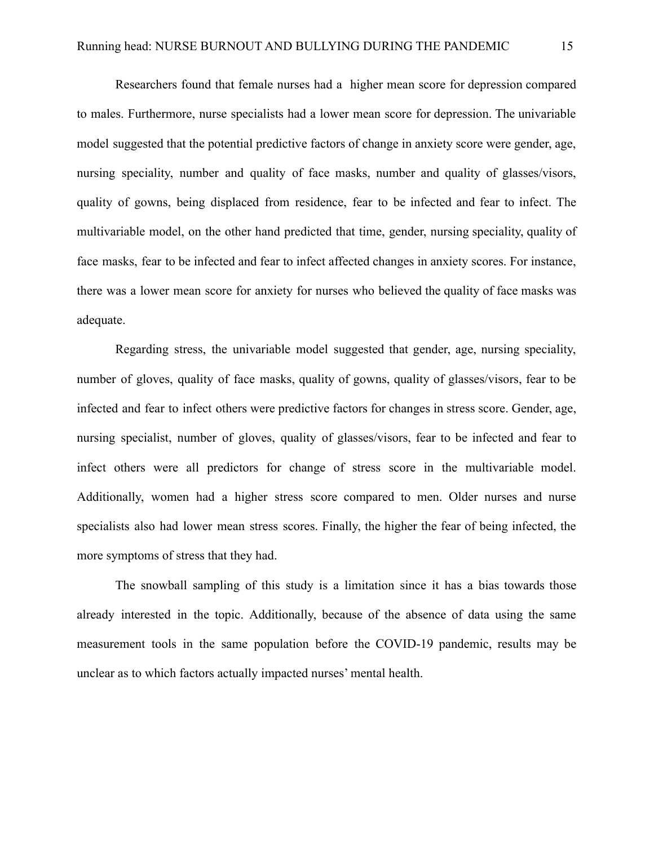Researchers found that female nurses had a higher mean score for depression compared to males. Furthermore, nurse specialists had a lower mean score for depression. The univariable model suggested that the potential predictive factors of change in anxiety score were gender, age, nursing speciality, number and quality of face masks, number and quality of glasses/visors, quality of gowns, being displaced from residence, fear to be infected and fear to infect. The multivariable model, on the other hand predicted that time, gender, nursing speciality, quality of face masks, fear to be infected and fear to infect affected changes in anxiety scores. For instance, there was a lower mean score for anxiety for nurses who believed the quality of face masks was adequate.

Regarding stress, the univariable model suggested that gender, age, nursing speciality, number of gloves, quality of face masks, quality of gowns, quality of glasses/visors, fear to be infected and fear to infect others were predictive factors for changes in stress score. Gender, age, nursing specialist, number of gloves, quality of glasses/visors, fear to be infected and fear to infect others were all predictors for change of stress score in the multivariable model. Additionally, women had a higher stress score compared to men. Older nurses and nurse specialists also had lower mean stress scores. Finally, the higher the fear of being infected, the more symptoms of stress that they had.

The snowball sampling of this study is a limitation since it has a bias towards those already interested in the topic. Additionally, because of the absence of data using the same measurement tools in the same population before the COVID-19 pandemic, results may be unclear as to which factors actually impacted nurses' mental health.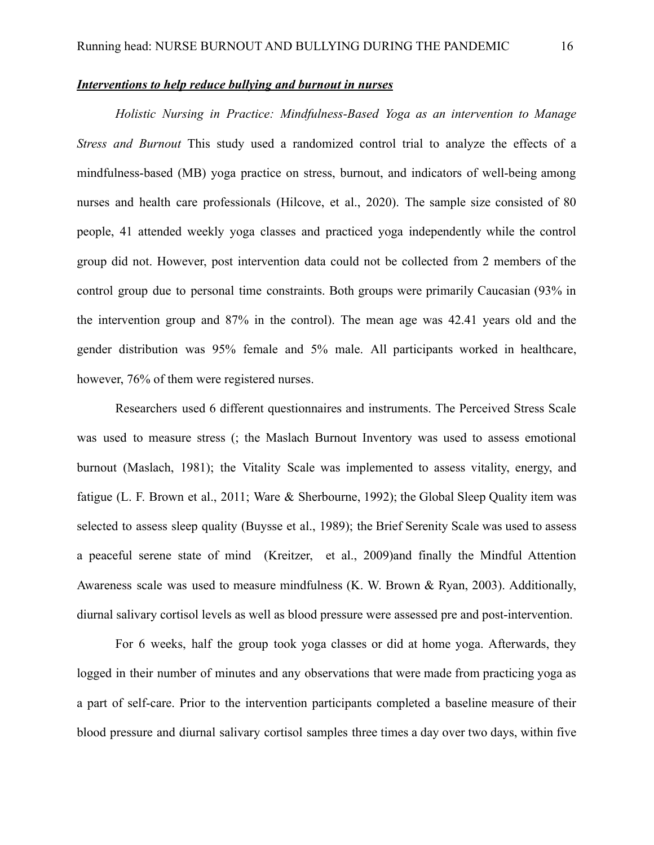#### *Interventions to help reduce bullying and burnout in nurses*

*Holistic Nursing in Practice: Mindfulness-Based Yoga as an intervention to Manage Stress and Burnout* This study used a randomized control trial to analyze the effects of a mindfulness-based (MB) yoga practice on stress, burnout, and indicators of well-being among nurses and health care professionals (Hilcove, et al., 2020). The sample size consisted of 80 people, 41 attended weekly yoga classes and practiced yoga independently while the control group did not. However, post intervention data could not be collected from 2 members of the control group due to personal time constraints. Both groups were primarily Caucasian (93% in the intervention group and 87% in the control). The mean age was 42.41 years old and the gender distribution was 95% female and 5% male. All participants worked in healthcare, however, 76% of them were registered nurses.

Researchers used 6 different questionnaires and instruments. The Perceived Stress Scale was used to measure stress (; the Maslach Burnout Inventory was used to assess emotional burnout (Maslach, 1981); the Vitality Scale was implemented to assess vitality, energy, and fatigue (L. F. Brown et al., 2011; Ware & Sherbourne, 1992); the Global Sleep Quality item was selected to assess sleep quality (Buysse et al., 1989); the Brief Serenity Scale was used to assess a peaceful serene state of mind (Kreitzer, et al., 2009)and finally the Mindful Attention Awareness scale was used to measure mindfulness (K. W. Brown & Ryan, 2003). Additionally, diurnal salivary cortisol levels as well as blood pressure were assessed pre and post-intervention.

For 6 weeks, half the group took yoga classes or did at home yoga. Afterwards, they logged in their number of minutes and any observations that were made from practicing yoga as a part of self-care. Prior to the intervention participants completed a baseline measure of their blood pressure and diurnal salivary cortisol samples three times a day over two days, within five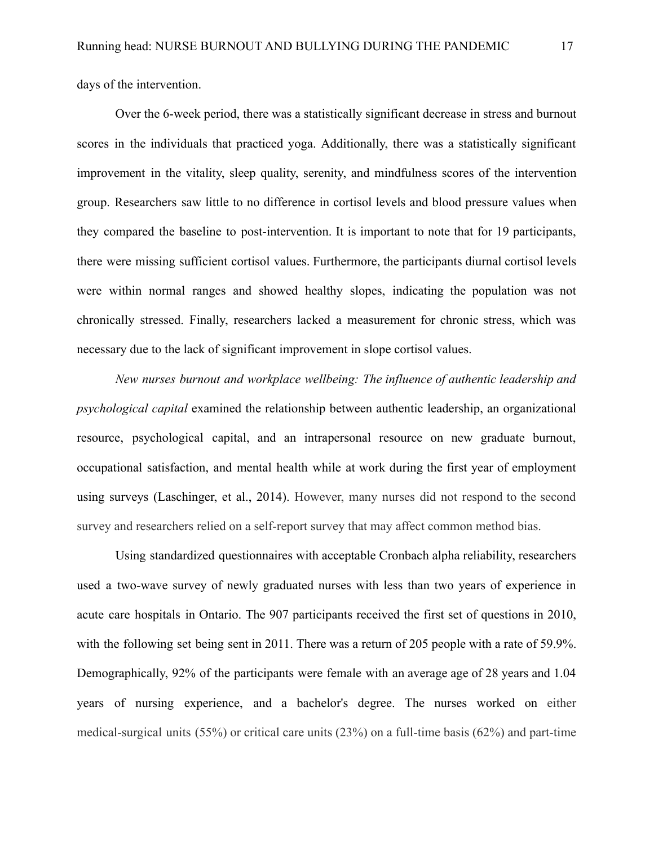days of the intervention.

Over the 6-week period, there was a statistically significant decrease in stress and burnout scores in the individuals that practiced yoga. Additionally, there was a statistically significant improvement in the vitality, sleep quality, serenity, and mindfulness scores of the intervention group. Researchers saw little to no difference in cortisol levels and blood pressure values when they compared the baseline to post-intervention. It is important to note that for 19 participants, there were missing sufficient cortisol values. Furthermore, the participants diurnal cortisol levels were within normal ranges and showed healthy slopes, indicating the population was not chronically stressed. Finally, researchers lacked a measurement for chronic stress, which was necessary due to the lack of significant improvement in slope cortisol values.

*New nurses burnout and workplace wellbeing: The influence of authentic leadership and psychological capital* examined the relationship between authentic leadership, an organizational resource, psychological capital, and an intrapersonal resource on new graduate burnout, occupational satisfaction, and mental health while at work during the first year of employment using surveys (Laschinger, et al., 2014). However, many nurses did not respond to the second survey and researchers relied on a self-report survey that may affect common method bias.

Using standardized questionnaires with acceptable Cronbach alpha reliability, researchers used a two-wave survey of newly graduated nurses with less than two years of experience in acute care hospitals in Ontario. The 907 participants received the first set of questions in 2010, with the following set being sent in 2011. There was a return of 205 people with a rate of 59.9%. Demographically, 92% of the participants were female with an average age of 28 years and 1.04 years of nursing experience, and a bachelor's degree. The nurses worked on either medical-surgical units (55%) or critical care units (23%) on a full-time basis (62%) and part-time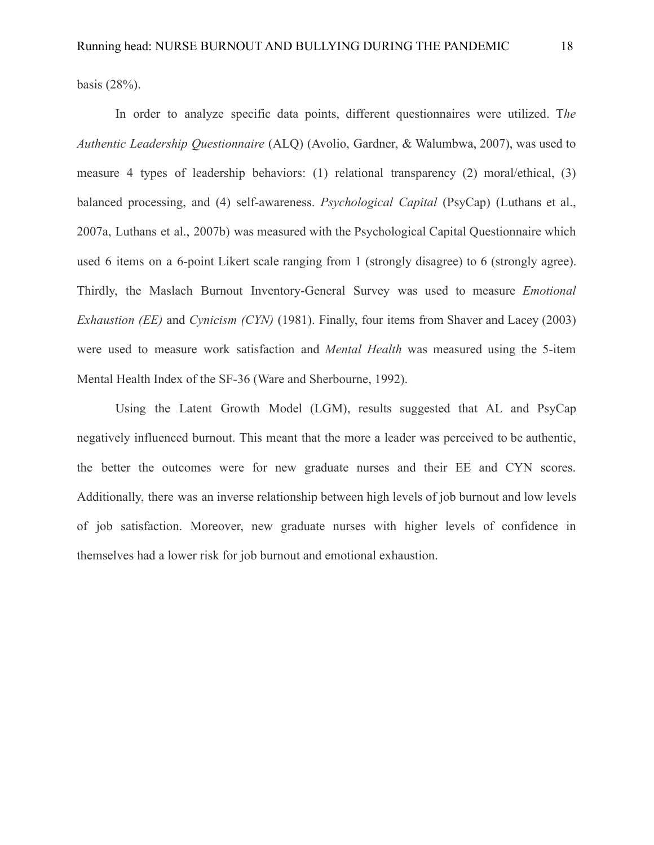basis (28%).

In order to analyze specific data points, different questionnaires were utilized. T*he Authentic Leadership Questionnaire* (ALQ) (Avolio, Gardner, & Walumbwa, 2007), was used to measure 4 types of leadership behaviors: (1) relational transparency (2) moral/ethical, (3) balanced processing, and (4) self-awareness. *Psychological Capital* (PsyCap) (Luthans et al., 2007a, Luthans et al., 2007b) was measured with the Psychological Capital Questionnaire which used 6 items on a 6-point Likert scale ranging from 1 (strongly disagree) to 6 (strongly agree). Thirdly, the Maslach Burnout Inventory-General Survey was used to measure *Emotional Exhaustion (EE)* and *Cynicism (CYN)* (1981). Finally, four items from Shaver and Lacey (2003) were used to measure work satisfaction and *Mental Health* was measured using the 5-item Mental Health Index of the SF-36 (Ware and Sherbourne, 1992).

Using the Latent Growth Model (LGM), results suggested that AL and PsyCap negatively influenced burnout. This meant that the more a leader was perceived to be authentic, the better the outcomes were for new graduate nurses and their EE and CYN scores. Additionally, there was an inverse relationship between high levels of job burnout and low levels of job satisfaction. Moreover, new graduate nurses with higher levels of confidence in themselves had a lower risk for job burnout and emotional exhaustion.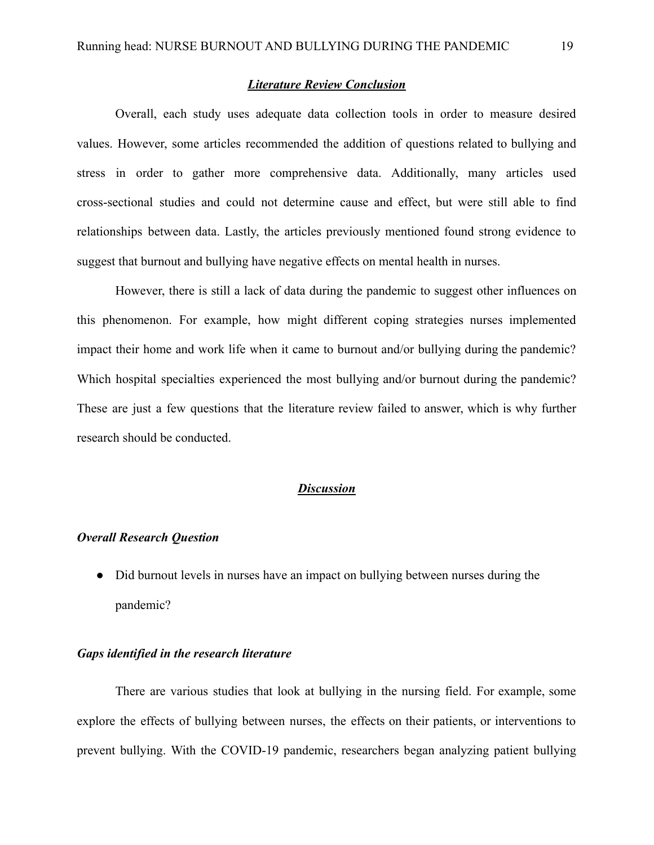#### *Literature Review Conclusion*

Overall, each study uses adequate data collection tools in order to measure desired values. However, some articles recommended the addition of questions related to bullying and stress in order to gather more comprehensive data. Additionally, many articles used cross-sectional studies and could not determine cause and effect, but were still able to find relationships between data. Lastly, the articles previously mentioned found strong evidence to suggest that burnout and bullying have negative effects on mental health in nurses.

However, there is still a lack of data during the pandemic to suggest other influences on this phenomenon. For example, how might different coping strategies nurses implemented impact their home and work life when it came to burnout and/or bullying during the pandemic? Which hospital specialties experienced the most bullying and/or burnout during the pandemic? These are just a few questions that the literature review failed to answer, which is why further research should be conducted.

### *Discussion*

#### *Overall Research Question*

● Did burnout levels in nurses have an impact on bullying between nurses during the pandemic?

#### *Gaps identified in the research literature*

There are various studies that look at bullying in the nursing field. For example, some explore the effects of bullying between nurses, the effects on their patients, or interventions to prevent bullying. With the COVID-19 pandemic, researchers began analyzing patient bullying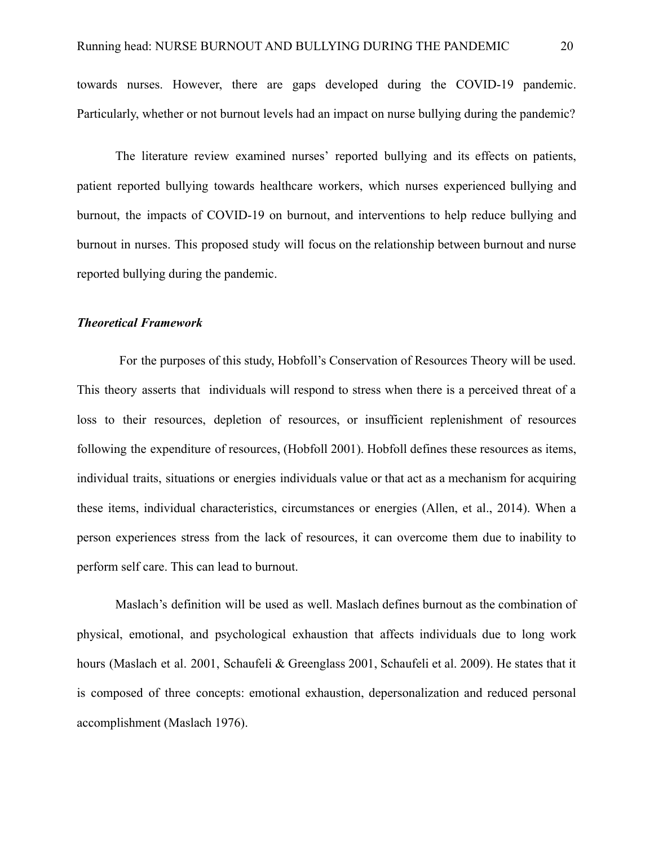towards nurses. However, there are gaps developed during the COVID-19 pandemic. Particularly, whether or not burnout levels had an impact on nurse bullying during the pandemic?

The literature review examined nurses' reported bullying and its effects on patients, patient reported bullying towards healthcare workers, which nurses experienced bullying and burnout, the impacts of COVID-19 on burnout, and interventions to help reduce bullying and burnout in nurses. This proposed study will focus on the relationship between burnout and nurse reported bullying during the pandemic.

#### *Theoretical Framework*

For the purposes of this study, Hobfoll's Conservation of Resources Theory will be used. This theory asserts that individuals will respond to stress when there is a perceived threat of a loss to their resources, depletion of resources, or insufficient replenishment of resources following the expenditure of resources, (Hobfoll 2001). Hobfoll defines these resources as items, individual traits, situations or energies individuals value or that act as a mechanism for acquiring these items, individual characteristics, circumstances or energies (Allen, et al., 2014). When a person experiences stress from the lack of resources, it can overcome them due to inability to perform self care. This can lead to burnout.

Maslach's definition will be used as well. Maslach defines burnout as the combination of physical, emotional, and psychological exhaustion that affects individuals due to long work hours (Maslach et al. 2001, Schaufeli & Greenglass 2001, Schaufeli et al. 2009). He states that it is composed of three concepts: emotional exhaustion, depersonalization and reduced personal accomplishment (Maslach 1976).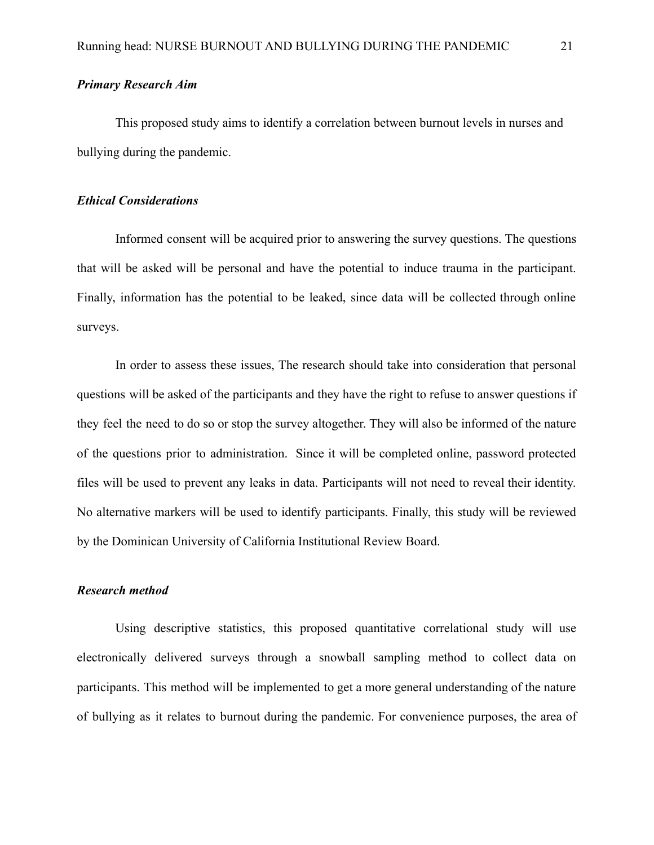# *Primary Research Aim*

This proposed study aims to identify a correlation between burnout levels in nurses and bullying during the pandemic.

### *Ethical Considerations*

Informed consent will be acquired prior to answering the survey questions. The questions that will be asked will be personal and have the potential to induce trauma in the participant. Finally, information has the potential to be leaked, since data will be collected through online surveys.

In order to assess these issues, The research should take into consideration that personal questions will be asked of the participants and they have the right to refuse to answer questions if they feel the need to do so or stop the survey altogether. They will also be informed of the nature of the questions prior to administration. Since it will be completed online, password protected files will be used to prevent any leaks in data. Participants will not need to reveal their identity. No alternative markers will be used to identify participants. Finally, this study will be reviewed by the Dominican University of California Institutional Review Board.

# *Research method*

Using descriptive statistics, this proposed quantitative correlational study will use electronically delivered surveys through a snowball sampling method to collect data on participants. This method will be implemented to get a more general understanding of the nature of bullying as it relates to burnout during the pandemic. For convenience purposes, the area of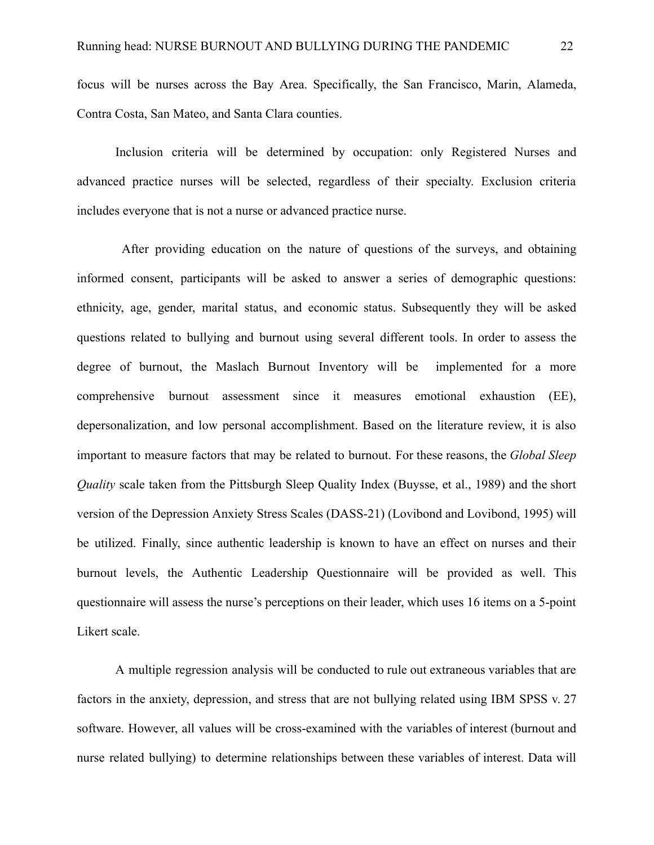focus will be nurses across the Bay Area. Specifically, the San Francisco, Marin, Alameda, Contra Costa, San Mateo, and Santa Clara counties.

Inclusion criteria will be determined by occupation: only Registered Nurses and advanced practice nurses will be selected, regardless of their specialty. Exclusion criteria includes everyone that is not a nurse or advanced practice nurse.

After providing education on the nature of questions of the surveys, and obtaining informed consent, participants will be asked to answer a series of demographic questions: ethnicity, age, gender, marital status, and economic status. Subsequently they will be asked questions related to bullying and burnout using several different tools. In order to assess the degree of burnout, the Maslach Burnout Inventory will be implemented for a more comprehensive burnout assessment since it measures emotional exhaustion (EE), depersonalization, and low personal accomplishment. Based on the literature review, it is also important to measure factors that may be related to burnout. For these reasons, the *Global Sleep Quality* scale taken from the Pittsburgh Sleep Quality Index (Buysse, et al., 1989) and the short version of the Depression Anxiety Stress Scales (DASS-21) (Lovibond and Lovibond, 1995) will be utilized. Finally, since authentic leadership is known to have an effect on nurses and their burnout levels, the Authentic Leadership Questionnaire will be provided as well. This questionnaire will assess the nurse's perceptions on their leader, which uses 16 items on a 5-point Likert scale.

A multiple regression analysis will be conducted to rule out extraneous variables that are factors in the anxiety, depression, and stress that are not bullying related using IBM SPSS v. 27 software. However, all values will be cross-examined with the variables of interest (burnout and nurse related bullying) to determine relationships between these variables of interest. Data will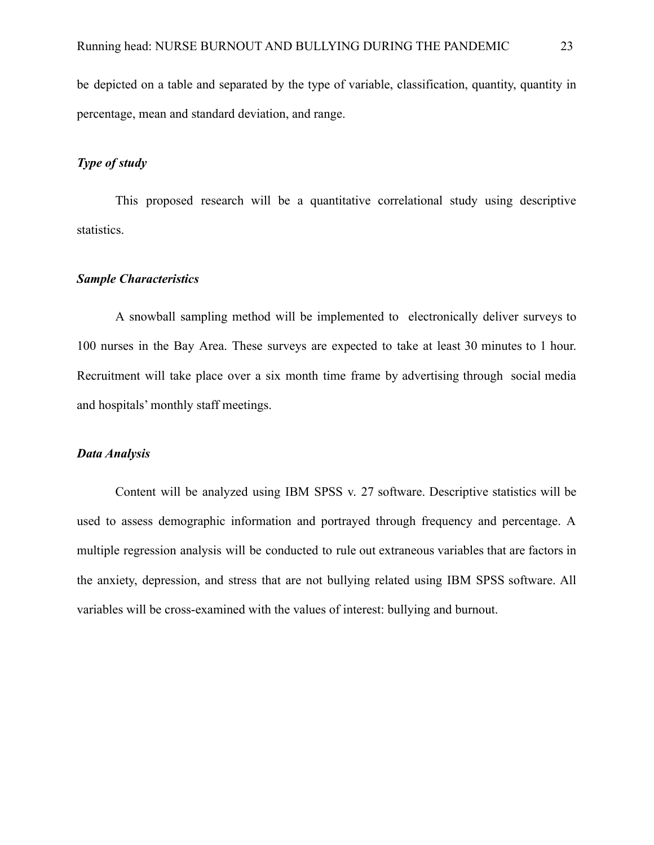be depicted on a table and separated by the type of variable, classification, quantity, quantity in percentage, mean and standard deviation, and range.

### *Type of study*

This proposed research will be a quantitative correlational study using descriptive statistics.

#### *Sample Characteristics*

A snowball sampling method will be implemented to electronically deliver surveys to 100 nurses in the Bay Area. These surveys are expected to take at least 30 minutes to 1 hour. Recruitment will take place over a six month time frame by advertising through social media and hospitals' monthly staff meetings.

#### *Data Analysis*

Content will be analyzed using IBM SPSS v. 27 software. Descriptive statistics will be used to assess demographic information and portrayed through frequency and percentage. A multiple regression analysis will be conducted to rule out extraneous variables that are factors in the anxiety, depression, and stress that are not bullying related using IBM SPSS software. All variables will be cross-examined with the values of interest: bullying and burnout.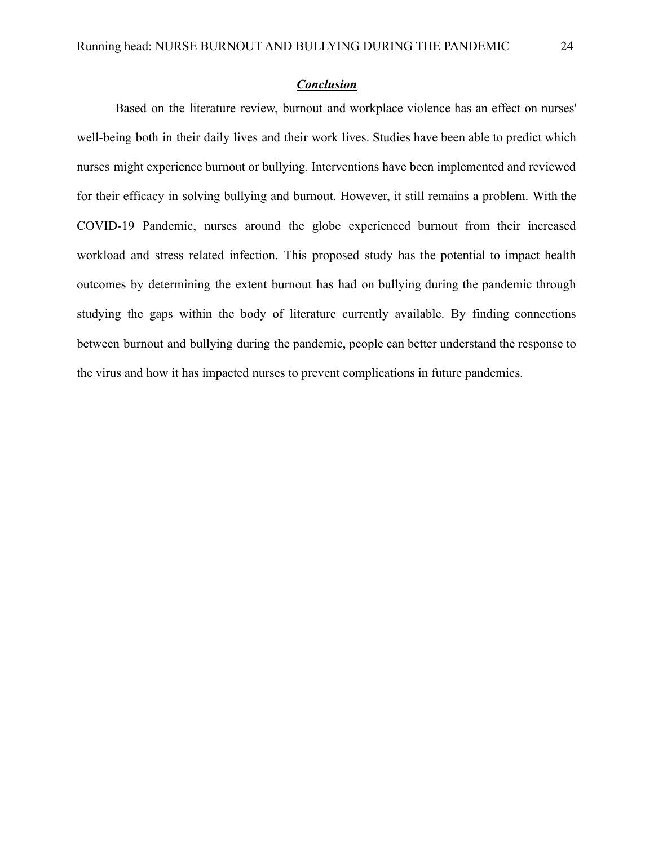### *Conclusion*

Based on the literature review, burnout and workplace violence has an effect on nurses' well-being both in their daily lives and their work lives. Studies have been able to predict which nurses might experience burnout or bullying. Interventions have been implemented and reviewed for their efficacy in solving bullying and burnout. However, it still remains a problem. With the COVID-19 Pandemic, nurses around the globe experienced burnout from their increased workload and stress related infection. This proposed study has the potential to impact health outcomes by determining the extent burnout has had on bullying during the pandemic through studying the gaps within the body of literature currently available. By finding connections between burnout and bullying during the pandemic, people can better understand the response to the virus and how it has impacted nurses to prevent complications in future pandemics.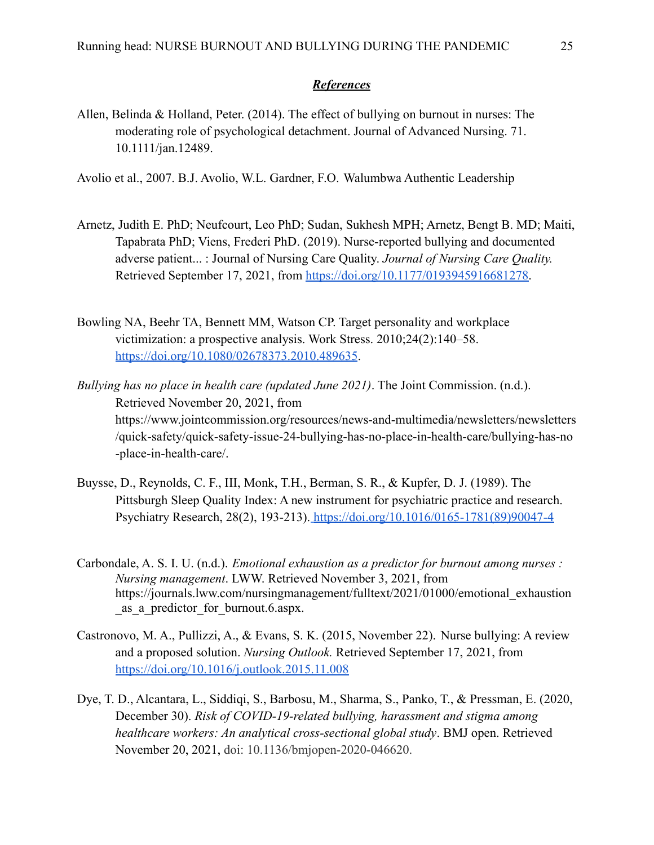# *References*

Allen, Belinda & Holland, Peter. (2014). The effect of bullying on burnout in nurses: The moderating role of psychological detachment. Journal of Advanced Nursing. 71. 10.1111/jan.12489.

[Avolio et al., 2007.](https://www.sciencedirect.com/science/article/pii/S2213058614000059#bbib0375) B.J. Avolio, W.L. Gardner, F.O. Walumbwa Authentic Leadership

- Arnetz, Judith E. PhD; Neufcourt, Leo PhD; Sudan, Sukhesh MPH; Arnetz, Bengt B. MD; Maiti, Tapabrata PhD; Viens, Frederi PhD. (2019). Nurse-reported bullying and documented adverse patient... : Journal of Nursing Care Quality. *Journal of Nursing Care Quality.* Retrieved September 17, 2021, from [https://doi.org/10.1177/0193945916681278.](https://doi.org/10.1177%2F0193945916681278)
- Bowling NA, Beehr TA, Bennett MM, Watson CP. Target personality and workplace victimization: a prospective analysis. Work Stress. 2010;24(2):140–58. <https://doi.org/10.1080/02678373.2010.489635>.

*Bullying has no place in health care (updated June 2021)*. The Joint Commission. (n.d.). Retrieved November 20, 2021, from https://www.jointcommission.org/resources/news-and-multimedia/newsletters/newsletters /quick-safety/quick-safety-issue-24-bullying-has-no-place-in-health-care/bullying-has-no -place-in-health-care/.

- Buysse, D., Reynolds, C. F., III, Monk, T.H., Berman, S. R., & Kupfer, D. J. (1989). The Pittsburgh Sleep Quality Index: A new instrument for psychiatric practice and research. Psychiatry Research, 28(2), 193-213). [https://doi.org/10.1016/0165-1781\(89\)90047-4](https://doi.org/10.1016/0165-1781(89)90047-4)
- Carbondale, A. S. I. U. (n.d.). *Emotional exhaustion as a predictor for burnout among nurses : Nursing management*. LWW. Retrieved November 3, 2021, from https://journals.lww.com/nursingmanagement/fulltext/2021/01000/emotional\_exhaustion \_as\_a\_predictor\_for\_burnout.6.aspx.
- Castronovo, M. A., Pullizzi, A., & Evans, S. K. (2015, November 22). Nurse bullying: A review and a proposed solution. *Nursing Outlook.* Retrieved September 17, 2021, from <https://doi.org/10.1016/j.outlook.2015.11.008>
- Dye, T. D., Alcantara, L., Siddiqi, S., Barbosu, M., Sharma, S., Panko, T., & Pressman, E. (2020, December 30). *Risk of COVID-19-related bullying, harassment and stigma among healthcare workers: An analytical cross-sectional global study*. BMJ open. Retrieved November 20, 2021, doi: [10.1136/bmjopen-2020-046620](https://dx.doi.org/10.1136%2Fbmjopen-2020-046620).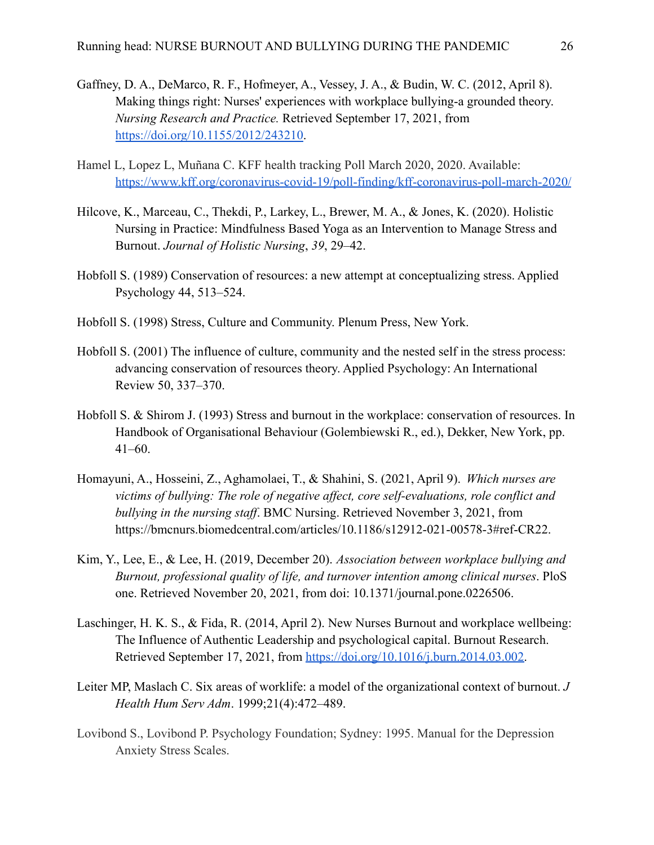- Gaffney, D. A., DeMarco, R. F., Hofmeyer, A., Vessey, J. A., & Budin, W. C. (2012, April 8). Making things right: Nurses' experiences with workplace bullying-a grounded theory. *Nursing Research and Practice.* Retrieved September 17, 2021, from <https://doi.org/10.1155/2012/243210>.
- Hamel L, Lopez L, Muñana C. KFF health tracking Poll March 2020, 2020. Available: <https://www.kff.org/coronavirus-covid-19/poll-finding/kff-coronavirus-poll-march-2020/>
- Hilcove, K., Marceau, C., Thekdi, P., Larkey, L., Brewer, M. A., & Jones, K. (2020). Holistic Nursing in Practice: Mindfulness Based Yoga as an Intervention to Manage Stress and Burnout. *Journal of Holistic Nursing*, *39*, 29–42.
- Hobfoll S. (1989) Conservation of resources: a new attempt at conceptualizing stress. Applied Psychology 44, 513–524.
- Hobfoll S. (1998) Stress, Culture and Community. Plenum Press, New York.
- Hobfoll S. (2001) The influence of culture, community and the nested self in the stress process: advancing conservation of resources theory. Applied Psychology: An International Review 50, 337–370.
- Hobfoll S. & Shirom J. (1993) Stress and burnout in the workplace: conservation of resources. In Handbook of Organisational Behaviour (Golembiewski R., ed.), Dekker, New York, pp. 41–60.
- Homayuni, A., Hosseini, Z., Aghamolaei, T., & Shahini, S. (2021, April 9). *Which nurses are victims of bullying: The role of negative affect, core self-evaluations, role conflict and bullying in the nursing staff*. BMC Nursing. Retrieved November 3, 2021, from https://bmcnurs.biomedcentral.com/articles/10.1186/s12912-021-00578-3#ref-CR22.
- Kim, Y., Lee, E., & Lee, H. (2019, December 20). *Association between workplace bullying and Burnout, professional quality of life, and turnover intention among clinical nurses*. PloS one. Retrieved November 20, 2021, from doi: [10.1371/journal.pone.0226506](https://dx.doi.org/10.1371%2Fjournal.pone.0226506).
- Laschinger, H. K. S., & Fida, R. (2014, April 2). New Nurses Burnout and workplace wellbeing: The Influence of Authentic Leadership and psychological capital. Burnout Research. Retrieved September 17, 2021, from [https://doi.org/10.1016/j.burn.2014.03.002.](https://doi.org/10.1016/j.burn.2014.03.002)
- Leiter MP, Maslach C. Six areas of worklife: a model of the organizational context of burnout. *J Health Hum Serv Adm*. 1999;21(4):472–489.
- Lovibond S., Lovibond P. Psychology Foundation; Sydney: 1995. Manual for the Depression Anxiety Stress Scales.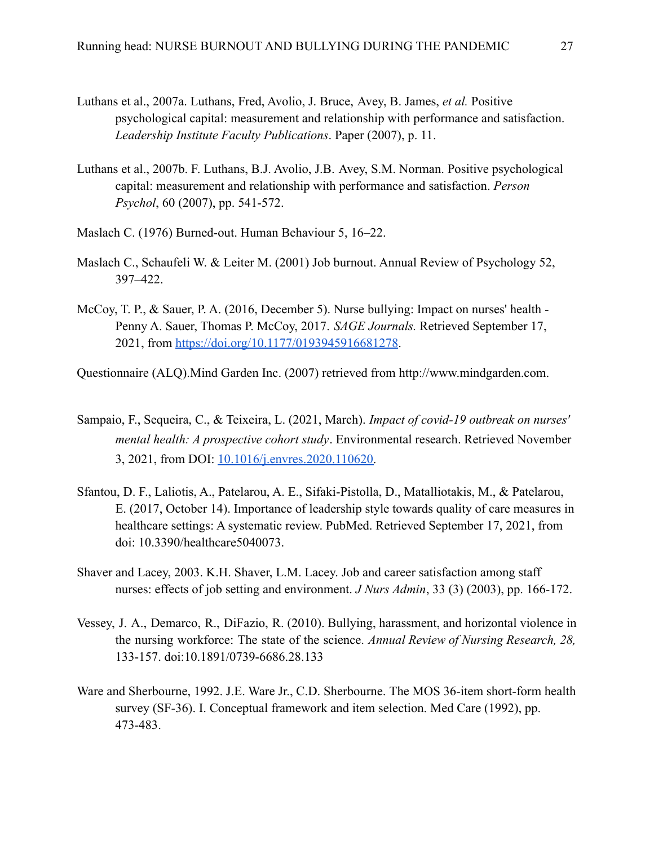- [Luthans et al., 2007a](https://www.sciencedirect.com/science/article/pii/S2213058614000059#bbib0270). Luthans, Fred, Avolio, J. Bruce, Avey, B. James, *et al.* Positive psychological capital: measurement and relationship with performance and satisfaction. *Leadership Institute Faculty Publications*. Paper (2007), p. 11.
- [Luthans et al., 2007b.](https://www.sciencedirect.com/science/article/pii/S2213058614000059#bbib0275) F. Luthans, B.J. Avolio, J.B. Avey, S.M. Norman. Positive psychological capital: measurement and relationship with performance and satisfaction. *Person Psychol*, 60 (2007), pp. 541-572.
- Maslach C. (1976) Burned-out. Human Behaviour 5, 16–22.
- Maslach C., Schaufeli W. & Leiter M. (2001) Job burnout. Annual Review of Psychology 52, 397–422.
- McCoy, T. P., & Sauer, P. A. (2016, December 5). Nurse bullying: Impact on nurses' health Penny A. Sauer, Thomas P. McCoy, 2017. *SAGE Journals.* Retrieved September 17, 2021, from [https://doi.org/10.1177/0193945916681278](https://doi.org/10.1177%2F0193945916681278).
- Questionnaire (ALQ).Mind Garden Inc. (2007) retrieved from [http://www.mindgarden.com](http://www.mindgarden.com/).
- Sampaio, F., Sequeira, C., & Teixeira, L. (2021, March). *Impact of covid-19 outbreak on nurses' mental health: A prospective cohort study*. Environmental research. Retrieved November 3, 2021, from DOI: [10.1016/j.envres.2020.110620.](https://dx.doi.org/10.1016%2Fj.envres.2020.110620)
- Sfantou, D. F., Laliotis, A., Patelarou, A. E., Sifaki-Pistolla, D., Matalliotakis, M., & Patelarou, E. (2017, October 14). Importance of leadership style towards quality of care measures in healthcare settings: A systematic review. PubMed. Retrieved September 17, 2021, from doi: [10.3390/healthcare5040073](https://dx.doi.org/10.3390%2Fhealthcare5040073).
- [Shaver and Lacey, 2003](https://www.sciencedirect.com/science/article/pii/S2213058614000059#bbib0385). K.H. Shaver, L.M. Lacey. Job and career satisfaction among staff nurses: effects of job setting and environment. *J Nurs Admin*, 33 (3) (2003), pp. 166-172.
- Vessey, J. A., Demarco, R., DiFazio, R. (2010). Bullying, harassment, and horizontal violence in the nursing workforce: The state of the science. *Annual Review of Nursing Research, 28,* 133-157. doi:[10.1891/0739-6686.28.133](https://doi.org/10.1891/0739-6686.28.133)
- [Ware and Sherbourne, 1992.](https://www.sciencedirect.com/science/article/pii/S2213058614000059#bbib0390) J.E. Ware Jr., C.D. Sherbourne. The MOS 36-item short-form health survey (SF-36). I. Conceptual framework and item selection. Med Care (1992), pp. 473-483.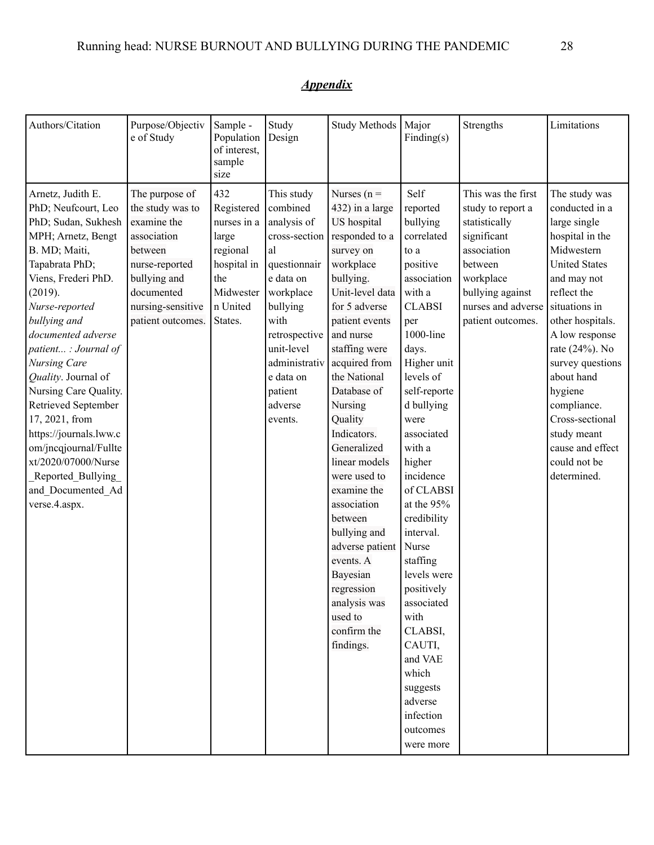| Authors/Citation                                                                                                                                                                                                                                                                                                                                                                                                                                                                         | Purpose/Objectiv<br>e of Study                                                                                                                                        | Sample -<br>Population<br>of interest,<br>sample<br>size                                                        | Study<br>Design                                                                                                                                                                                                          | Study Methods                                                                                                                                                                                                                                                                                                                                                                                                                                                                                                | Major<br>Finding(s)                                                                                                                                                                                                                                                                                                                                                                                                                                                                         | Strengths                                                                                                                                                                     | Limitations                                                                                                                                                                                                                                                                                                                                                      |
|------------------------------------------------------------------------------------------------------------------------------------------------------------------------------------------------------------------------------------------------------------------------------------------------------------------------------------------------------------------------------------------------------------------------------------------------------------------------------------------|-----------------------------------------------------------------------------------------------------------------------------------------------------------------------|-----------------------------------------------------------------------------------------------------------------|--------------------------------------------------------------------------------------------------------------------------------------------------------------------------------------------------------------------------|--------------------------------------------------------------------------------------------------------------------------------------------------------------------------------------------------------------------------------------------------------------------------------------------------------------------------------------------------------------------------------------------------------------------------------------------------------------------------------------------------------------|---------------------------------------------------------------------------------------------------------------------------------------------------------------------------------------------------------------------------------------------------------------------------------------------------------------------------------------------------------------------------------------------------------------------------------------------------------------------------------------------|-------------------------------------------------------------------------------------------------------------------------------------------------------------------------------|------------------------------------------------------------------------------------------------------------------------------------------------------------------------------------------------------------------------------------------------------------------------------------------------------------------------------------------------------------------|
| Arnetz, Judith E.<br>PhD; Neufcourt, Leo<br>PhD; Sudan, Sukhesh<br>MPH; Arnetz, Bengt<br>B. MD; Maiti,<br>Tapabrata PhD;<br>Viens, Frederi PhD.<br>(2019).<br>Nurse-reported<br>bullying and<br>documented adverse<br>patient : Journal of<br>Nursing Care<br>Quality. Journal of<br>Nursing Care Quality.<br>Retrieved September<br>17, 2021, from<br>https://journals.lww.c<br>om/jncqjournal/Fullte<br>xt/2020/07000/Nurse<br>Reported_Bullying<br>and Documented Ad<br>verse.4.aspx. | The purpose of<br>the study was to<br>examine the<br>association<br>between<br>nurse-reported<br>bullying and<br>documented<br>nursing-sensitive<br>patient outcomes. | 432<br>Registered<br>nurses in a<br>large<br>regional<br>hospital in<br>the<br>Midwester<br>n United<br>States. | This study<br>combined<br>analysis of<br>cross-section<br>al<br>questionnair<br>e data on<br>workplace<br>bullying<br>with<br>retrospective<br>unit-level<br>administrativ<br>e data on<br>patient<br>adverse<br>events. | Nurses ( $n =$<br>432) in a large<br>US hospital<br>responded to a<br>survey on<br>workplace<br>bullying.<br>Unit-level data<br>for 5 adverse<br>patient events<br>and nurse<br>staffing were<br>acquired from<br>the National<br>Database of<br>Nursing<br>Quality<br>Indicators.<br>Generalized<br>linear models<br>were used to<br>examine the<br>association<br>between<br>bullying and<br>adverse patient<br>events. A<br>Bayesian<br>regression<br>analysis was<br>used to<br>confirm the<br>findings. | Self<br>reported<br>bullying<br>correlated<br>to a<br>positive<br>association<br>with a<br><b>CLABSI</b><br>per<br>1000-line<br>days.<br>Higher unit<br>levels of<br>self-reporte<br>d bullying<br>were<br>associated<br>with a<br>higher<br>incidence<br>of CLABSI<br>at the 95%<br>credibility<br>interval.<br>Nurse<br>staffing<br>levels were<br>positively<br>associated<br>with<br>CLABSI,<br>CAUTI,<br>and VAE<br>which<br>suggests<br>adverse<br>infection<br>outcomes<br>were more | This was the first<br>study to report a<br>statistically<br>significant<br>association<br>between<br>workplace<br>bullying against<br>nurses and adverse<br>patient outcomes. | The study was<br>conducted in a<br>large single<br>hospital in the<br>Midwestern<br><b>United States</b><br>and may not<br>reflect the<br>situations in<br>other hospitals.<br>A low response<br>rate (24%). No<br>survey questions<br>about hand<br>hygiene<br>compliance.<br>Cross-sectional<br>study meant<br>cause and effect<br>could not be<br>determined. |

# *Appendix*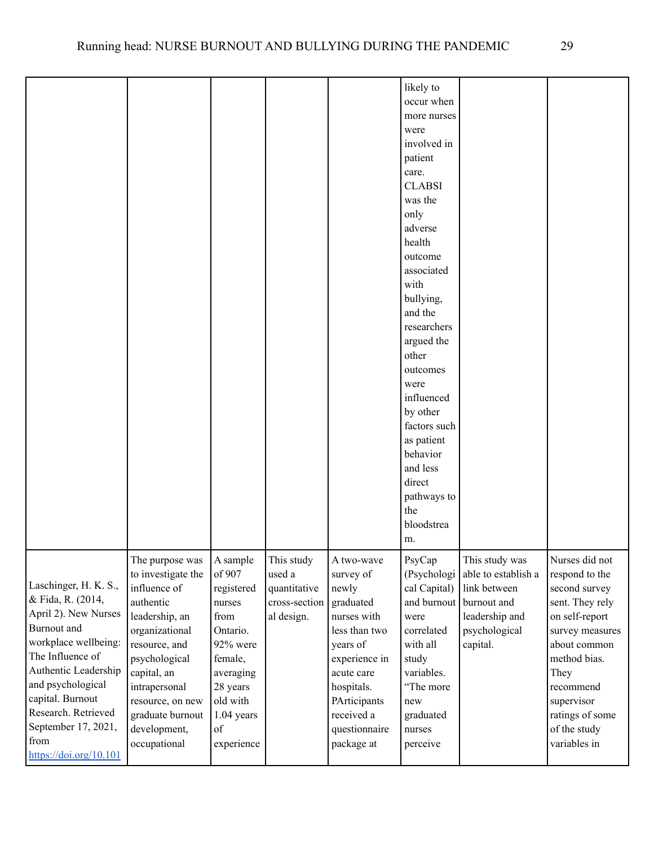|                                                                                                                                                                                                                                                                                |                                                                                                                                                                                                                                                  |                                                                                                                                                                |                                                                     |                                                                                                                                                                                                     | likely to<br>occur when<br>more nurses<br>were<br>involved in<br>patient<br>care.<br><b>CLABSI</b><br>was the<br>only<br>adverse<br>health<br>outcome<br>associated<br>with<br>bullying,<br>and the<br>researchers<br>argued the<br>other<br>outcomes<br>were<br>influenced<br>by other<br>factors such<br>as patient<br>behavior<br>and less<br>direct<br>pathways to<br>the<br>bloodstrea<br>m. |                                                                                                                                 |                                                                                                                                                                                                                                 |
|--------------------------------------------------------------------------------------------------------------------------------------------------------------------------------------------------------------------------------------------------------------------------------|--------------------------------------------------------------------------------------------------------------------------------------------------------------------------------------------------------------------------------------------------|----------------------------------------------------------------------------------------------------------------------------------------------------------------|---------------------------------------------------------------------|-----------------------------------------------------------------------------------------------------------------------------------------------------------------------------------------------------|---------------------------------------------------------------------------------------------------------------------------------------------------------------------------------------------------------------------------------------------------------------------------------------------------------------------------------------------------------------------------------------------------|---------------------------------------------------------------------------------------------------------------------------------|---------------------------------------------------------------------------------------------------------------------------------------------------------------------------------------------------------------------------------|
| Laschinger, H. K. S.,<br>& Fida, R. (2014,<br>April 2). New Nurses<br>Burnout and<br>workplace wellbeing:<br>The Influence of<br>Authentic Leadership<br>and psychological<br>capital. Burnout<br>Research. Retrieved<br>September 17, 2021,<br>from<br>https://doi.org/10.101 | The purpose was<br>to investigate the<br>influence of<br>authentic<br>leadership, an<br>organizational<br>resource, and<br>psychological<br>capital, an<br>intrapersonal<br>resource, on new<br>graduate burnout<br>development,<br>occupational | A sample<br>of 907<br>registered<br>nurses<br>from<br>Ontario.<br>92% were<br>female,<br>averaging<br>28 years<br>old with<br>$1.04$ years<br>of<br>experience | This study<br>used a<br>quantitative<br>cross-section<br>al design. | A two-wave<br>survey of<br>newly<br>graduated<br>nurses with<br>less than two<br>years of<br>experience in<br>acute care<br>hospitals.<br>PArticipants<br>received a<br>questionnaire<br>package at | PsyCap<br>(Psychologi<br>cal Capital)<br>were<br>correlated<br>with all<br>study<br>variables.<br>"The more<br>new<br>graduated<br>nurses<br>perceive                                                                                                                                                                                                                                             | This study was<br>able to establish a<br>link between<br>and burnout burnout and<br>leadership and<br>psychological<br>capital. | Nurses did not<br>respond to the<br>second survey<br>sent. They rely<br>on self-report<br>survey measures<br>about common<br>method bias.<br>They<br>recommend<br>supervisor<br>ratings of some<br>of the study<br>variables in |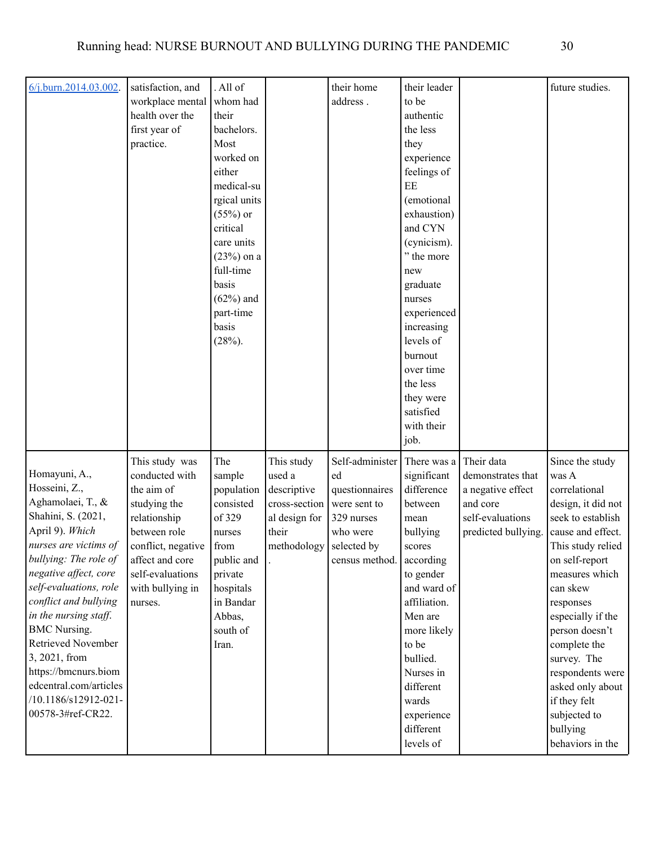| $6/j.burn.2014.03.002$ . | satisfaction, and  | . All of           |               | their home               | their leader            |                    | future studies.    |
|--------------------------|--------------------|--------------------|---------------|--------------------------|-------------------------|--------------------|--------------------|
|                          | workplace mental   | whom had           |               | address.                 | to be                   |                    |                    |
|                          | health over the    | their              |               |                          | authentic               |                    |                    |
|                          | first year of      | bachelors.         |               |                          | the less                |                    |                    |
|                          | practice.          | Most               |               |                          | they                    |                    |                    |
|                          |                    | worked on          |               |                          | experience              |                    |                    |
|                          |                    | either             |               |                          | feelings of             |                    |                    |
|                          |                    | medical-su         |               |                          | EE                      |                    |                    |
|                          |                    | rgical units       |               |                          | (emotional              |                    |                    |
|                          |                    | $(55%)$ or         |               |                          | exhaustion)             |                    |                    |
|                          |                    | critical           |               |                          | and CYN                 |                    |                    |
|                          |                    | care units         |               |                          | (cynicism).             |                    |                    |
|                          |                    | $(23%)$ on a       |               |                          | " the more              |                    |                    |
|                          |                    | full-time          |               |                          | new                     |                    |                    |
|                          |                    | basis              |               |                          | graduate                |                    |                    |
|                          |                    | $(62%)$ and        |               |                          | nurses                  |                    |                    |
|                          |                    | part-time<br>basis |               |                          | experienced             |                    |                    |
|                          |                    | $(28%)$ .          |               |                          | increasing<br>levels of |                    |                    |
|                          |                    |                    |               |                          | burnout                 |                    |                    |
|                          |                    |                    |               |                          | over time               |                    |                    |
|                          |                    |                    |               |                          | the less                |                    |                    |
|                          |                    |                    |               |                          | they were               |                    |                    |
|                          |                    |                    |               |                          | satisfied               |                    |                    |
|                          |                    |                    |               |                          | with their              |                    |                    |
|                          |                    |                    |               |                          | job.                    |                    |                    |
|                          | This study was     | The                | This study    | Self-administer          | There was a             | Their data         | Since the study    |
| Homayuni, A.,            | conducted with     | sample             | used a        | ed                       | significant             | demonstrates that  | was A              |
| Hosseini, Z.,            | the aim of         | population         | descriptive   | questionnaires           | difference              | a negative effect  | correlational      |
| Aghamolaei, T., &        | studying the       | consisted          | cross-section | were sent to             | between                 | and core           | design, it did not |
| Shahini, S. (2021,       | relationship       | of 329             | al design for | 329 nurses               | mean                    | self-evaluations   | seek to establish  |
| April 9). Which          | between role       | nurses             | their         | who were                 | bullying                | predicted bullying | cause and effect.  |
| nurses are victims of    | conflict, negative | from               | methodology   | selected by              | scores                  |                    | This study relied  |
| bullying: The role of    | affect and core    | public and         |               | census method. according |                         |                    | on self-report     |
| negative affect, core    | self-evaluations   | private            |               |                          | to gender               |                    | measures which     |
| self-evaluations, role   | with bullying in   | hospitals          |               |                          | and ward of             |                    | can skew           |
| conflict and bullying    | nurses.            | in Bandar          |               |                          | affiliation.            |                    | responses          |
| in the nursing staff.    |                    | Abbas,             |               |                          | Men are                 |                    | especially if the  |
| <b>BMC</b> Nursing.      |                    | south of           |               |                          | more likely             |                    | person doesn't     |
| Retrieved November       |                    | Iran.              |               |                          | to be                   |                    | complete the       |
| 3, 2021, from            |                    |                    |               |                          | bullied.                |                    | survey. The        |
| https://bmcnurs.biom     |                    |                    |               |                          | Nurses in               |                    | respondents were   |
| edcentral.com/articles   |                    |                    |               |                          | different               |                    | asked only about   |
| /10.1186/s12912-021-     |                    |                    |               |                          | wards                   |                    | if they felt       |
| 00578-3#ref-CR22.        |                    |                    |               |                          | experience              |                    | subjected to       |
|                          |                    |                    |               |                          | different               |                    | bullying           |
|                          |                    |                    |               |                          | levels of               |                    | behaviors in the   |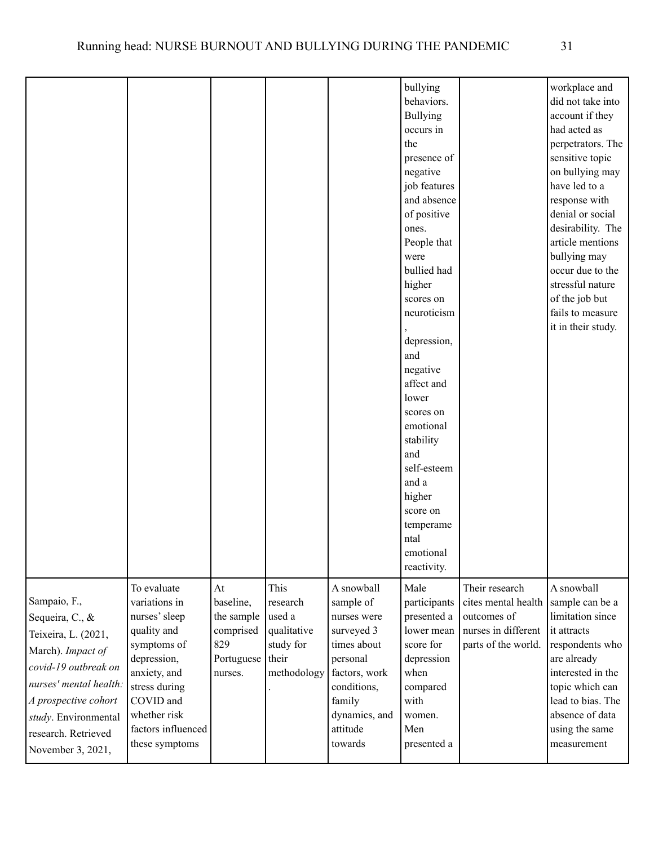|                                                                                                                                                                                                                           |                                                                                                                                                                                                  |                                                                                    |                                                                       |                                                                                                                                                                   | bullying<br>behaviors.<br><b>Bullying</b><br>occurs in<br>the<br>presence of<br>negative<br>job features<br>and absence<br>of positive<br>ones.<br>People that<br>were<br>bullied had<br>higher<br>scores on<br>neuroticism<br>depression,<br>and<br>negative<br>affect and<br>lower<br>scores on<br>emotional<br>stability<br>and<br>self-esteem<br>and a<br>higher<br>score on<br>temperame<br>ntal<br>emotional<br>reactivity. |                                                                                                    | workplace and<br>did not take into<br>account if they<br>had acted as<br>perpetrators. The<br>sensitive topic<br>on bullying may<br>have led to a<br>response with<br>denial or social<br>desirability. The<br>article mentions<br>bullying may<br>occur due to the<br>stressful nature<br>of the job but<br>fails to measure<br>it in their study. |
|---------------------------------------------------------------------------------------------------------------------------------------------------------------------------------------------------------------------------|--------------------------------------------------------------------------------------------------------------------------------------------------------------------------------------------------|------------------------------------------------------------------------------------|-----------------------------------------------------------------------|-------------------------------------------------------------------------------------------------------------------------------------------------------------------|-----------------------------------------------------------------------------------------------------------------------------------------------------------------------------------------------------------------------------------------------------------------------------------------------------------------------------------------------------------------------------------------------------------------------------------|----------------------------------------------------------------------------------------------------|-----------------------------------------------------------------------------------------------------------------------------------------------------------------------------------------------------------------------------------------------------------------------------------------------------------------------------------------------------|
| Sampaio, F.,<br>Sequeira, C., &<br>Teixeira, L. (2021,<br>March). Impact of<br>covid-19 outbreak on<br>nurses' mental health:<br>A prospective cohort<br>study. Environmental<br>research. Retrieved<br>November 3, 2021, | To evaluate<br>variations in<br>nurses' sleep<br>quality and<br>symptoms of<br>depression,<br>anxiety, and<br>stress during<br>COVID and<br>whether risk<br>factors influenced<br>these symptoms | At<br>baseline,<br>the sample<br>comprised<br>829<br>Portuguese   their<br>nurses. | This<br>research<br>used a<br>qualitative<br>study for<br>methodology | A snowball<br>sample of<br>nurses were<br>surveyed 3<br>times about<br>personal<br>factors, work<br>conditions,<br>family<br>dynamics, and<br>attitude<br>towards | Male<br>participants<br>presented a<br>lower mean<br>score for<br>depression<br>when<br>compared<br>with<br>women.<br>Men<br>presented a                                                                                                                                                                                                                                                                                          | Their research<br>cites mental health<br>outcomes of<br>nurses in different<br>parts of the world. | A snowball<br>sample can be a<br>limitation since<br>it attracts<br>respondents who<br>are already<br>interested in the<br>topic which can<br>lead to bias. The<br>absence of data<br>using the same<br>measurement                                                                                                                                 |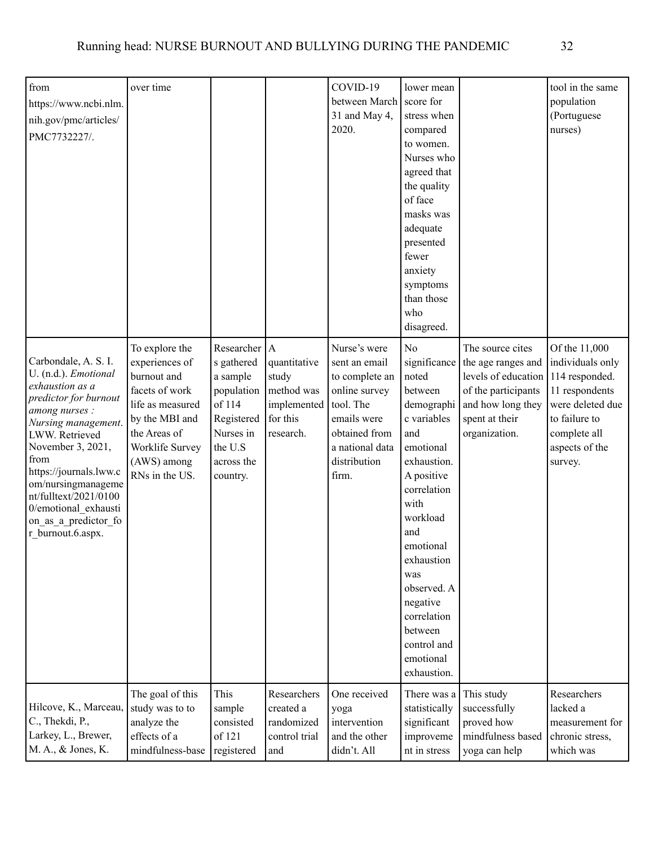| from<br>https://www.ncbi.nlm.<br>nih.gov/pmc/articles/<br>PMC7732227/.                                                                                                                                                                                                                                                         | over time                                                                                                                                                                   |                                                                                                                                    |                                                                             | COVID-19<br>between March<br>31 and May 4,<br>2020.                                                                                                       | lower mean<br>score for<br>stress when<br>compared<br>to women.<br>Nurses who<br>agreed that<br>the quality<br>of face<br>masks was<br>adequate<br>presented<br>fewer<br>anxiety<br>symptoms<br>than those<br>who<br>disagreed.                                                                              |                                                                                                                                              | tool in the same<br>population<br>(Portuguese<br>nurses)                                                                                                |
|--------------------------------------------------------------------------------------------------------------------------------------------------------------------------------------------------------------------------------------------------------------------------------------------------------------------------------|-----------------------------------------------------------------------------------------------------------------------------------------------------------------------------|------------------------------------------------------------------------------------------------------------------------------------|-----------------------------------------------------------------------------|-----------------------------------------------------------------------------------------------------------------------------------------------------------|--------------------------------------------------------------------------------------------------------------------------------------------------------------------------------------------------------------------------------------------------------------------------------------------------------------|----------------------------------------------------------------------------------------------------------------------------------------------|---------------------------------------------------------------------------------------------------------------------------------------------------------|
| Carbondale, A. S. I.<br>U. (n.d.). Emotional<br>exhaustion as a<br>predictor for burnout<br>among nurses :<br>Nursing management.<br>LWW. Retrieved<br>November 3, 2021,<br>from<br>https://journals.lww.c<br>om/nursingmanageme<br>nt/fulltext/2021/0100<br>0/emotional exhausti<br>on_as_a_predictor_fo<br>r burnout.6.aspx. | To explore the<br>experiences of<br>burnout and<br>facets of work<br>life as measured<br>by the MBI and<br>the Areas of<br>Worklife Survey<br>(AWS) among<br>RNs in the US. | Researcher $ A $<br>s gathered<br>a sample<br>population<br>of 114<br>Registered<br>Nurses in<br>the U.S<br>across the<br>country. | quantitative<br>study<br>method was<br>implemented<br>for this<br>research. | Nurse's were<br>sent an email<br>to complete an<br>online survey<br>tool. The<br>emails were<br>obtained from<br>a national data<br>distribution<br>firm. | N <sub>o</sub><br>significance<br>noted<br>between<br>demographi<br>c variables<br>and<br>emotional<br>exhaustion.<br>A positive<br>correlation<br>with<br>workload<br>and<br>emotional<br>exhaustion<br>was<br>observed. A<br>negative<br>correlation<br>between<br>control and<br>emotional<br>exhaustion. | The source cites<br>the age ranges and<br>levels of education<br>of the participants<br>and how long they<br>spent at their<br>organization. | Of the 11,000<br>individuals only<br>114 responded.<br>11 respondents<br>were deleted due<br>to failure to<br>complete all<br>aspects of the<br>survey. |
| Hilcove, K., Marceau,<br>C., Thekdi, P.,<br>Larkey, L., Brewer,<br>M. A., & Jones, K.                                                                                                                                                                                                                                          | The goal of this<br>study was to to<br>analyze the<br>effects of a<br>mindfulness-base                                                                                      | This<br>sample<br>consisted<br>of 121<br>registered                                                                                | Researchers<br>created a<br>randomized<br>control trial<br>and              | One received<br>yoga<br>intervention<br>and the other<br>didn't. All                                                                                      | There was a<br>statistically<br>significant<br>improveme<br>nt in stress                                                                                                                                                                                                                                     | This study<br>successfully<br>proved how<br>mindfulness based<br>yoga can help                                                               | Researchers<br>lacked a<br>measurement for<br>chronic stress,<br>which was                                                                              |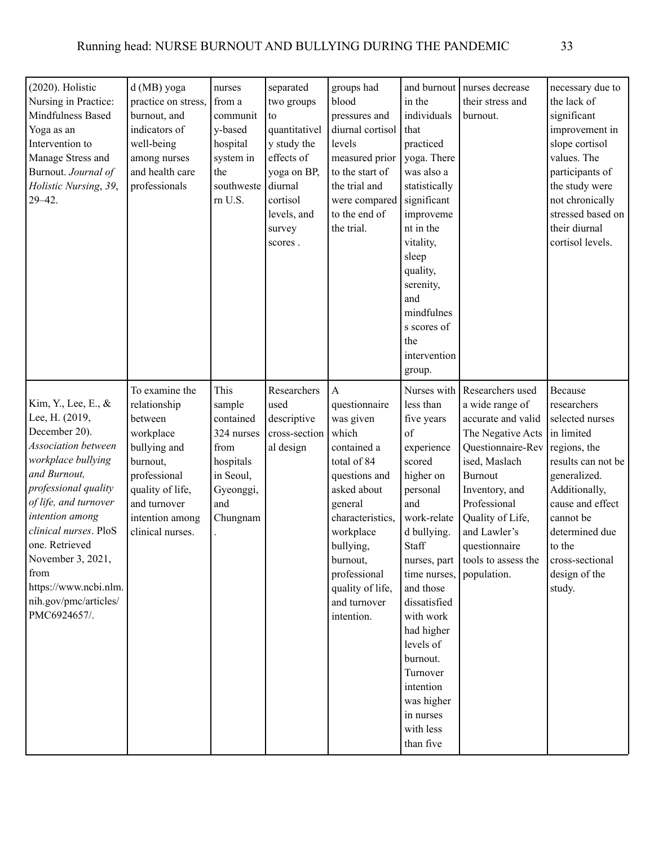| $(2020)$ . Holistic<br>Nursing in Practice:<br>Mindfulness Based<br>Yoga as an<br>Intervention to<br>Manage Stress and<br>Burnout. Journal of<br>Holistic Nursing, 39,<br>$29 - 42$ .                                                                                                                                                    | d (MB) yoga<br>practice on stress,<br>burnout, and<br>indicators of<br>well-being<br>among nurses<br>and health care<br>professionals                                         | nurses<br>from a<br>communit<br>y-based<br>hospital<br>system in<br>the<br>southweste<br>m U.S.             | separated<br>two groups<br>to<br>quantitativel<br>y study the<br>effects of<br>yoga on BP,<br>diurnal<br>cortisol<br>levels, and<br>survey<br>scores. | groups had<br>blood<br>pressures and<br>diurnal cortisol<br>levels<br>measured prior<br>to the start of<br>the trial and<br>were compared<br>to the end of<br>the trial.                                                                                 | and burnout<br>in the<br>individuals<br>that<br>practiced<br>yoga. There<br>was also a<br>statistically<br>significant<br>improveme<br>nt in the<br>vitality,<br>sleep<br>quality,<br>serenity,<br>and<br>mindfulnes<br>s scores of<br>the<br>intervention<br>group.                                                                       | nurses decrease<br>their stress and<br>burnout.                                                                                                                                                                                                                     | necessary due to<br>the lack of<br>significant<br>improvement in<br>slope cortisol<br>values. The<br>participants of<br>the study were<br>not chronically<br>stressed based on<br>their diurnal<br>cortisol levels.                       |
|------------------------------------------------------------------------------------------------------------------------------------------------------------------------------------------------------------------------------------------------------------------------------------------------------------------------------------------|-------------------------------------------------------------------------------------------------------------------------------------------------------------------------------|-------------------------------------------------------------------------------------------------------------|-------------------------------------------------------------------------------------------------------------------------------------------------------|----------------------------------------------------------------------------------------------------------------------------------------------------------------------------------------------------------------------------------------------------------|--------------------------------------------------------------------------------------------------------------------------------------------------------------------------------------------------------------------------------------------------------------------------------------------------------------------------------------------|---------------------------------------------------------------------------------------------------------------------------------------------------------------------------------------------------------------------------------------------------------------------|-------------------------------------------------------------------------------------------------------------------------------------------------------------------------------------------------------------------------------------------|
| Kim, Y., Lee, E., &<br>Lee, H. (2019,<br>December 20).<br><b>Association</b> between<br>workplace bullying<br>and Burnout,<br>professional quality<br>of life, and turnover<br>intention among<br>clinical nurses. PloS<br>one. Retrieved<br>November 3, 2021,<br>from<br>https://www.ncbi.nlm.<br>nih.gov/pmc/articles/<br>PMC6924657/. | To examine the<br>relationship<br>between<br>workplace<br>bullying and<br>burnout,<br>professional<br>quality of life,<br>and turnover<br>intention among<br>clinical nurses. | This<br>sample<br>contained<br>324 nurses<br>from<br>hospitals<br>in Seoul,<br>Gyeonggi,<br>and<br>Chungnam | Researchers<br>used<br>descriptive<br>cross-section<br>al design                                                                                      | $\mathbf{A}$<br>questionnaire<br>was given<br>which<br>contained a<br>total of 84<br>questions and<br>asked about<br>general<br>characteristics,<br>workplace<br>bullying,<br>burnout,<br>professional<br>quality of life,<br>and turnover<br>intention. | Nurses with<br>less than<br>five years<br>of<br>experience<br>scored<br>higher on<br>personal<br>and<br>work-relate<br>d bullying.<br>Staff<br>nurses, part<br>time nurses,<br>and those<br>dissatisfied<br>with work<br>had higher<br>levels of<br>burnout.<br>Turnover<br>intention<br>was higher<br>in nurses<br>with less<br>than five | Researchers used<br>a wide range of<br>accurate and valid<br>The Negative Acts<br>Questionnaire-Rev<br>ised, Maslach<br><b>Burnout</b><br>Inventory, and<br>Professional<br>Quality of Life,<br>and Lawler's<br>questionnaire<br>tools to assess the<br>population. | Because<br>researchers<br>selected nurses<br>in limited<br>regions, the<br>results can not be<br>generalized.<br>Additionally,<br>cause and effect<br>cannot be<br>determined due<br>to the<br>cross-sectional<br>design of the<br>study. |